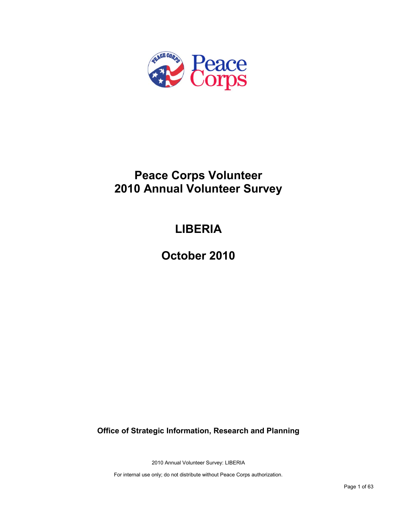

# **Peace Corps Volunteer 2010 Annual Volunteer Survey**

# **LIBERIA**

**October 2010**

**Office of Strategic Information, Research and Planning**

2010 Annual Volunteer Survey: LIBERIA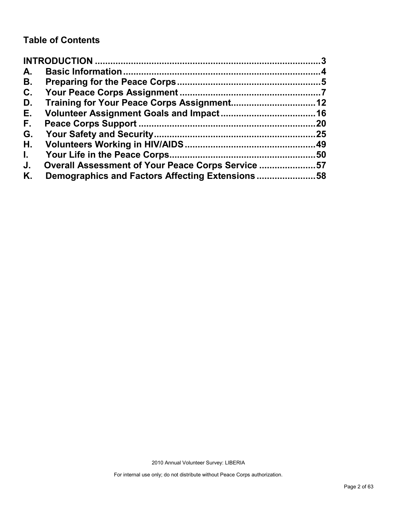# **Table of Contents**

| A.           |                                                   |     |
|--------------|---------------------------------------------------|-----|
| В.           |                                                   |     |
| C.           |                                                   |     |
| D.           |                                                   |     |
| Е.           |                                                   |     |
| F.           |                                                   | 20  |
| G.           |                                                   |     |
| Η.           |                                                   |     |
| $\mathbf{L}$ |                                                   | .50 |
| J.           | Overall Assessment of Your Peace Corps Service 57 |     |
| Κ.           | Demographics and Factors Affecting Extensions58   |     |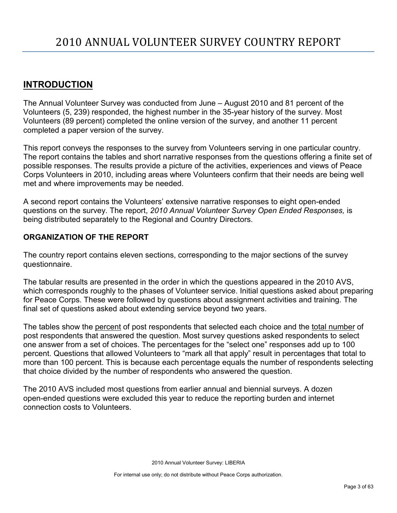# <span id="page-2-0"></span>**INTRODUCTION**

The Annual Volunteer Survey was conducted from June – August 2010 and 81 percent of the Volunteers (5, 239) responded, the highest number in the 35-year history of the survey. Most Volunteers (89 percent) completed the online version of the survey, and another 11 percent completed a paper version of the survey.

This report conveys the responses to the survey from Volunteers serving in one particular country. The report contains the tables and short narrative responses from the questions offering a finite set of possible responses. The results provide a picture of the activities, experiences and views of Peace Corps Volunteers in 2010, including areas where Volunteers confirm that their needs are being well met and where improvements may be needed.

A second report contains the Volunteers' extensive narrative responses to eight open-ended questions on the survey. The report, *2010 Annual Volunteer Survey Open Ended Responses,* is being distributed separately to the Regional and Country Directors.

# **ORGANIZATION OF THE REPORT**

The country report contains eleven sections, corresponding to the major sections of the survey questionnaire.

The tabular results are presented in the order in which the questions appeared in the 2010 AVS, which corresponds roughly to the phases of Volunteer service. Initial questions asked about preparing for Peace Corps. These were followed by questions about assignment activities and training. The final set of questions asked about extending service beyond two years.

The tables show the percent of post respondents that selected each choice and the total number of post respondents that answered the question. Most survey questions asked respondents to select one answer from a set of choices. The percentages for the "select one" responses add up to 100 percent. Questions that allowed Volunteers to "mark all that apply" result in percentages that total to more than 100 percent. This is because each percentage equals the number of respondents selecting that choice divided by the number of respondents who answered the question.

The 2010 AVS included most questions from earlier annual and biennial surveys. A dozen open-ended questions were excluded this year to reduce the reporting burden and internet connection costs to Volunteers.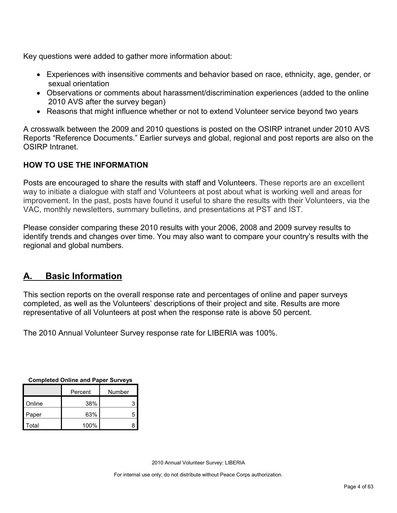Key questions were added to gather more information about:

- Experiences with insensitive comments and behavior based on race, ethnicity, age, gender, or sexual orientation
- Observations or comments about harassment/discrimination experiences (added to the online 2010 AVS after the survey began)
- Reasons that might influence whether or not to extend Volunteer service beyond two years

A crosswalk between the 2009 and 2010 questions is posted on the OSIRP intranet under 2010 AVS Reports "Reference Documents." Earlier surveys and global, regional and post reports are also on the OSIRP Intranet.

# **HOW TO USE THE INFORMATION**

Posts are encouraged to share the results with staff and Volunteers. These reports are an excellent way to initiate a dialogue with staff and Volunteers at post about what is working well and areas for improvement. In the past, posts have found it useful to share the results with their Volunteers, via the VAC, monthly newsletters, summary bulletins, and presentations at PST and IST.

Please consider comparing these 2010 results with your 2006, 2008 and 2009 survey results to identify trends and changes over time. You may also want to compare your country's results with the regional and global numbers.

# <span id="page-3-0"></span>**A. Basic Information**

This section reports on the overall response rate and percentages of online and paper surveys completed, as well as the Volunteers' descriptions of their project and site. Results are more representative of all Volunteers at post when the response rate is above 50 percent.

The 2010 Annual Volunteer Survey response rate for LIBERIA was 100%.

| <b>Completed Online and Paper Surveys</b> |         |        |  |  |  |
|-------------------------------------------|---------|--------|--|--|--|
|                                           | Percent | Number |  |  |  |
|                                           |         |        |  |  |  |

|        | Percent | Number |
|--------|---------|--------|
| Online | 38%     |        |
| Paper  | 63%     | 5      |
| Total  | 100%    | R      |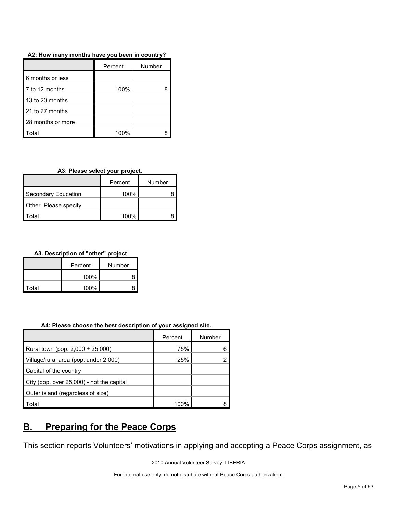| A2: How many months have you been in country? |  |
|-----------------------------------------------|--|
|-----------------------------------------------|--|

|                   | Percent | Number |
|-------------------|---------|--------|
| 6 months or less  |         |        |
| 7 to 12 months    | 100%    |        |
| 13 to 20 months   |         |        |
| 21 to 27 months   |         |        |
| 28 months or more |         |        |
| ʻotal             | 100%    |        |

# **A3: Please select your project.**

|                            | Percent | Number |
|----------------------------|---------|--------|
| <b>Secondary Education</b> | 100%    |        |
| Other. Please specify      |         |        |
| otal <sup>.</sup>          | 100%    |        |

# **A3. Description of "other" project**

|       | Percent | Number |  |
|-------|---------|--------|--|
|       | 100%    |        |  |
| Total | 100%    |        |  |

#### **A4: Please choose the best description of your assigned site.**

|                                           | Percent | Number |
|-------------------------------------------|---------|--------|
| Rural town (pop. 2,000 + 25,000)          | 75%     |        |
| Village/rural area (pop. under 2,000)     | 25%     |        |
| Capital of the country                    |         |        |
| City (pop. over 25,000) - not the capital |         |        |
| Outer island (regardless of size)         |         |        |
| Total                                     | 100%    |        |

# <span id="page-4-0"></span>**B. Preparing for the Peace Corps**

This section reports Volunteers' motivations in applying and accepting a Peace Corps assignment, as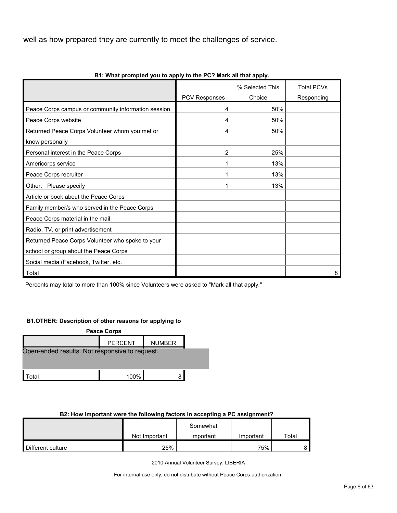well as how prepared they are currently to meet the challenges of service.

|                                                     |                      | % Selected This | <b>Total PCVs</b> |
|-----------------------------------------------------|----------------------|-----------------|-------------------|
|                                                     | <b>PCV Responses</b> | Choice          | Responding        |
| Peace Corps campus or community information session | 4                    | 50%             |                   |
| Peace Corps website                                 | 4                    | 50%             |                   |
| Returned Peace Corps Volunteer whom you met or      | 4                    | 50%             |                   |
| know personally                                     |                      |                 |                   |
| Personal interest in the Peace Corps                | 2                    | 25%             |                   |
| Americorps service                                  |                      | 13%             |                   |
| Peace Corps recruiter                               |                      | 13%             |                   |
| Other: Please specify                               |                      | 13%             |                   |
| Article or book about the Peace Corps               |                      |                 |                   |
| Family member/s who served in the Peace Corps       |                      |                 |                   |
| Peace Corps material in the mail                    |                      |                 |                   |
| Radio, TV, or print advertisement                   |                      |                 |                   |
| Returned Peace Corps Volunteer who spoke to your    |                      |                 |                   |
| school or group about the Peace Corps               |                      |                 |                   |
| Social media (Facebook, Twitter, etc.               |                      |                 |                   |
| Total                                               |                      |                 | 8                 |

**B1: What prompted you to apply to the PC? Mark all that apply.**

Percents may total to more than 100% since Volunteers were asked to "Mark all that apply."

#### **B1.OTHER: Description of other reasons for applying to**

| <b>Peace Corps</b>                             |                |               |  |  |  |  |
|------------------------------------------------|----------------|---------------|--|--|--|--|
|                                                | <b>PERCENT</b> | <b>NUMBER</b> |  |  |  |  |
| Open-ended results. Not responsive to request. |                |               |  |  |  |  |
|                                                |                |               |  |  |  |  |
|                                                |                |               |  |  |  |  |
| .ාta≀                                          | 100%           |               |  |  |  |  |

# **B2: How important were the following factors in accepting a PC assignment?**

|                   |               | Somewhat  |           |       |
|-------------------|---------------|-----------|-----------|-------|
|                   | Not Important | important | Important | Total |
| Different culture | 25%           |           | 75%       |       |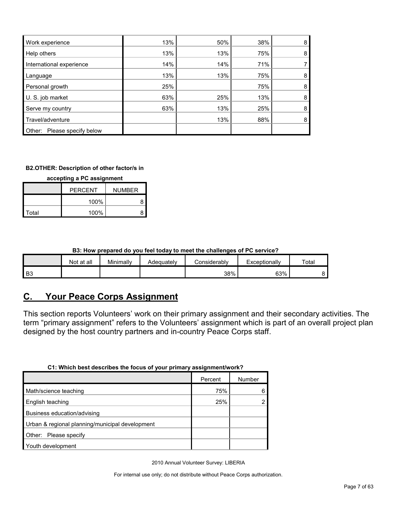| Work experience                | 13% | 50% | 38% | 8 |
|--------------------------------|-----|-----|-----|---|
| Help others                    | 13% | 13% | 75% | 8 |
| International experience       | 14% | 14% | 71% |   |
| Language                       | 13% | 13% | 75% | 8 |
| Personal growth                | 25% |     | 75% | 8 |
| U. S. job market               | 63% | 25% | 13% | 8 |
| Serve my country               | 63% | 13% | 25% | 8 |
| Travel/adventure               |     | 13% | 88% | 8 |
| Please specify below<br>Other: |     |     |     |   |

#### **B2.OTHER: Description of other factor/s in**

**accepting a PC assignment**

|       | <b>PERCENT</b> | <b>NUMBER</b> |
|-------|----------------|---------------|
|       | 100%           |               |
| Total | 100%           |               |

# **B3: How prepared do you feel today to meet the challenges of PC service?**

|    | Not at all | Minimally | Adequately | Considerabl∨ | Exceptionally | Total |
|----|------------|-----------|------------|--------------|---------------|-------|
| B3 |            |           |            | 38%          | 63%           |       |

# <span id="page-6-0"></span>**C. Your Peace Corps Assignment**

This section reports Volunteers' work on their primary assignment and their secondary activities. The term "primary assignment" refers to the Volunteers' assignment which is part of an overall project plan designed by the host country partners and in-country Peace Corps staff.

| UT. WHICH DESCRESCHIDES THE TOCUS OF YOUL DITHICITY ASSIGNMENT WORK : |         |        |
|-----------------------------------------------------------------------|---------|--------|
|                                                                       | Percent | Number |
| Math/science teaching                                                 | 75%     |        |
| English teaching                                                      | 25%     |        |
| Business education/advising                                           |         |        |
| Urban & regional planning/municipal development                       |         |        |
| Other: Please specify                                                 |         |        |
| Youth development                                                     |         |        |

**C1: Which best describes the focus of your primary assignment/work?**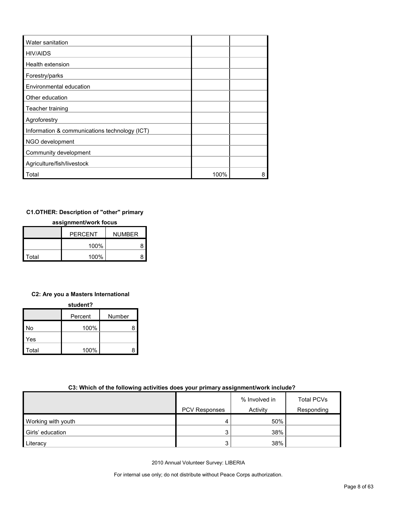| Water sanitation                              |      |   |
|-----------------------------------------------|------|---|
| <b>HIV/AIDS</b>                               |      |   |
| Health extension                              |      |   |
| Forestry/parks                                |      |   |
| Environmental education                       |      |   |
| Other education                               |      |   |
| Teacher training                              |      |   |
| Agroforestry                                  |      |   |
| Information & communications technology (ICT) |      |   |
| NGO development                               |      |   |
| Community development                         |      |   |
| Agriculture/fish/livestock                    |      |   |
| Total                                         | 100% | 8 |

# **C1.OTHER: Description of "other" primary**

#### **assignment/work focus**

|       | <b>PFRCFNT</b> | <b>NUMBER</b> |
|-------|----------------|---------------|
|       | 100%           |               |
| Total | 100%           |               |

# **C2: Are you a Masters International**

| student? |  |
|----------|--|
|          |  |

|       | Percent | Number |
|-------|---------|--------|
| No    | 100%    | 8      |
| Yes   |         |        |
| Total | 100%    | я      |

# **C3: Which of the following activities does your primary assignment/work include?**

|                    |                      | % Involved in | <b>Total PCVs</b> |
|--------------------|----------------------|---------------|-------------------|
|                    | <b>PCV Responses</b> | Activity      | Responding        |
| Working with youth | 4                    | 50%           |                   |
| Girls' education   | 3                    | 38%           |                   |
| Literacy           | 3                    | 38%           |                   |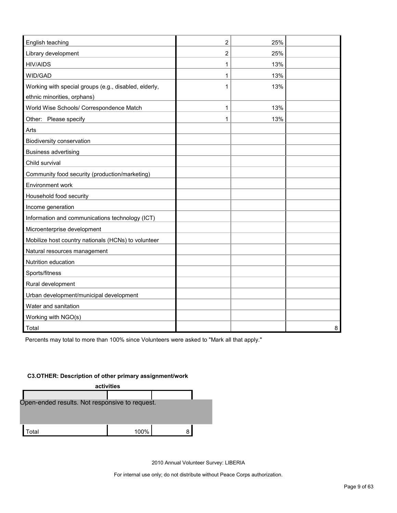| English teaching                                                                     | $\overline{c}$ | 25% |   |
|--------------------------------------------------------------------------------------|----------------|-----|---|
| Library development                                                                  | 2              | 25% |   |
| <b>HIV/AIDS</b>                                                                      | 1              | 13% |   |
| WID/GAD                                                                              | 1              | 13% |   |
| Working with special groups (e.g., disabled, elderly,<br>ethnic minorities, orphans) | 1              | 13% |   |
| World Wise Schools/ Correspondence Match                                             | 1              | 13% |   |
| Other: Please specify                                                                | 1              | 13% |   |
| Arts                                                                                 |                |     |   |
| Biodiversity conservation                                                            |                |     |   |
| <b>Business advertising</b>                                                          |                |     |   |
| Child survival                                                                       |                |     |   |
| Community food security (production/marketing)                                       |                |     |   |
| Environment work                                                                     |                |     |   |
| Household food security                                                              |                |     |   |
| Income generation                                                                    |                |     |   |
| Information and communications technology (ICT)                                      |                |     |   |
| Microenterprise development                                                          |                |     |   |
| Mobilize host country nationals (HCNs) to volunteer                                  |                |     |   |
| Natural resources management                                                         |                |     |   |
| Nutrition education                                                                  |                |     |   |
| Sports/fitness                                                                       |                |     |   |
| Rural development                                                                    |                |     |   |
| Urban development/municipal development                                              |                |     |   |
| Water and sanitation                                                                 |                |     |   |
| Working with NGO(s)                                                                  |                |     |   |
| Total                                                                                |                |     | 8 |

Percents may total to more than 100% since Volunteers were asked to "Mark all that apply."

#### **C3.OTHER: Description of other primary assignment/work**

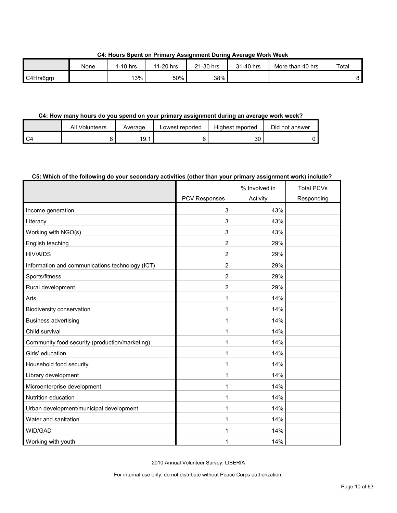|           | None | 1-10 hrs | 11-20 hrs | 21-30 hrs | 31-40 hrs | More than 40 hrs | Total |
|-----------|------|----------|-----------|-----------|-----------|------------------|-------|
| C4Hrs6arp |      | 13%      | 50%       | 38%       |           |                  |       |

**C4: Hours Spent on Primary Assignment During Average Work Week**

# **C4: How many hours do you spend on your primary assignment during an average work week?**

|      | All Volunteers | Average     | Lowest reported | Highest reported | Did not answer |
|------|----------------|-------------|-----------------|------------------|----------------|
| l C4 |                | 10<br>I J.I |                 | 30               |                |

# **C5: Which of the following do your secondary activities (other than your primary assignment work) include?**

|                                                 |                      | % Involved in | <b>Total PCVs</b> |
|-------------------------------------------------|----------------------|---------------|-------------------|
|                                                 | <b>PCV Responses</b> | Activity      | Responding        |
| Income generation                               | 3                    | 43%           |                   |
| Literacy                                        | 3                    | 43%           |                   |
| Working with NGO(s)                             | 3                    | 43%           |                   |
| English teaching                                | $\overline{2}$       | 29%           |                   |
| <b>HIV/AIDS</b>                                 | $\overline{2}$       | 29%           |                   |
| Information and communications technology (ICT) | $\overline{2}$       | 29%           |                   |
| Sports/fitness                                  | $\overline{2}$       | 29%           |                   |
| Rural development                               | $\overline{c}$       | 29%           |                   |
| Arts                                            | 1                    | 14%           |                   |
| Biodiversity conservation                       | 1                    | 14%           |                   |
| <b>Business advertising</b>                     | 1                    | 14%           |                   |
| Child survival                                  | 1                    | 14%           |                   |
| Community food security (production/marketing)  | 1                    | 14%           |                   |
| Girls' education                                | 1                    | 14%           |                   |
| Household food security                         | 1                    | 14%           |                   |
| Library development                             | 1                    | 14%           |                   |
| Microenterprise development                     | 1                    | 14%           |                   |
| Nutrition education                             | 1                    | 14%           |                   |
| Urban development/municipal development         | 1                    | 14%           |                   |
| Water and sanitation                            | 1                    | 14%           |                   |
| WID/GAD                                         | 1                    | 14%           |                   |
| Working with youth                              | 1                    | 14%           |                   |

2010 Annual Volunteer Survey: LIBERIA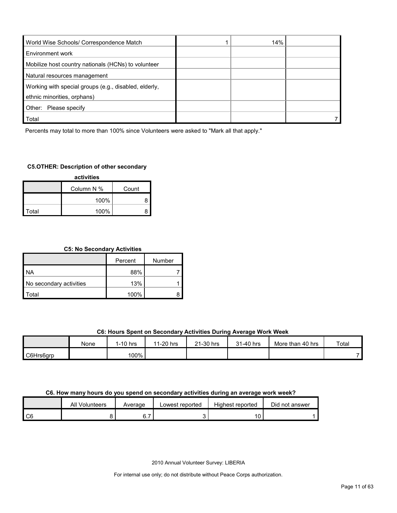| World Wise Schools/ Correspondence Match              | 14% |  |
|-------------------------------------------------------|-----|--|
| Environment work                                      |     |  |
| Mobilize host country nationals (HCNs) to volunteer   |     |  |
| Natural resources management                          |     |  |
| Working with special groups (e.g., disabled, elderly, |     |  |
| ethnic minorities, orphans)                           |     |  |
| Other: Please specify                                 |     |  |
| Total                                                 |     |  |

Percents may total to more than 100% since Volunteers were asked to "Mark all that apply."

# **C5.OTHER: Description of other secondary**

| activities |            |       |  |  |  |  |
|------------|------------|-------|--|--|--|--|
|            | Column N % | Count |  |  |  |  |
|            | 100%       |       |  |  |  |  |
| Total      | 100%       |       |  |  |  |  |

# **C5: No Secondary Activities**

|                         | Percent | Number |
|-------------------------|---------|--------|
| <b>NA</b>               | 88%     |        |
| No secondary activities | 13%     |        |
| `otal                   | 100%    |        |

#### **C6: Hours Spent on Secondary Activities During Average Work Week**

|           | None | $1-10$ hrs | $1-20$ hrs<br>44 | $\angle$ 1-30 hrs | 31-40 hrs | More than 40 hrs | Total |
|-----------|------|------------|------------------|-------------------|-----------|------------------|-------|
| C6Hrs6grp |      | 100%       |                  |                   |           |                  |       |

#### **C6. How many hours do you spend on secondary activities during an average work week?**

|      | All Volunteers | Average | Lowest reported | Highest reported | Did not answer |
|------|----------------|---------|-----------------|------------------|----------------|
| l C6 |                | ັ.      |                 |                  |                |

2010 Annual Volunteer Survey: LIBERIA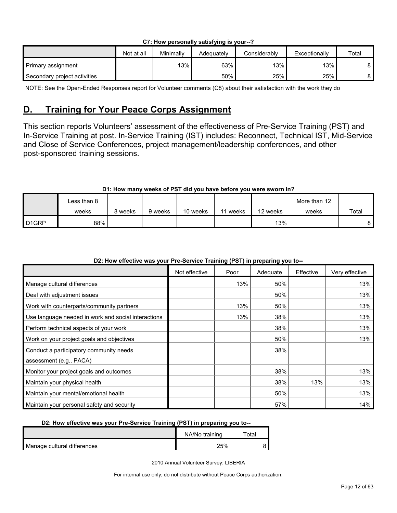|  |  | C7: How personally satisfying is your--? |  |  |  |
|--|--|------------------------------------------|--|--|--|
|--|--|------------------------------------------|--|--|--|

|                              | Not at all | Minimally | Adeauatelv | Considerablv | Exceptionally | Total |
|------------------------------|------------|-----------|------------|--------------|---------------|-------|
| Primary assignment           |            | 13%       | 63%        | 13%          | 13%           |       |
| Secondary project activities |            |           | 50%        | 25%          | 25%           |       |

NOTE: See the Open-Ended Responses report for Volunteer comments (C8) about their satisfaction with the work they do

# <span id="page-11-0"></span>**D. Training for Your Peace Corps Assignment**

This section reports Volunteers' assessment of the effectiveness of Pre-Service Training (PST) and In-Service Training at post. In-Service Training (IST) includes: Reconnect, Technical IST, Mid-Service and Close of Service Conferences, project management/leadership conferences, and other post-sponsored training sessions.

# **D1: How many weeks of PST did you have before you were sworn in?**

|                   | Less than 8 |         |         |          |              |          | More than 12 |       |
|-------------------|-------------|---------|---------|----------|--------------|----------|--------------|-------|
|                   | weeks       | २ weeks | 9 weeks | 10 weeks | weeks<br>-44 | 12 weeks | weeks        | Total |
| D <sub>1GRP</sub> | 88%         |         |         |          |              | $13\%$   |              | 8     |

# **D2: How effective was your Pre-Service Training (PST) in preparing you to--**

|                                                     | Not effective | Poor | Adequate | Effective | Very effective |
|-----------------------------------------------------|---------------|------|----------|-----------|----------------|
| Manage cultural differences                         |               | 13%  | 50%      |           | 13%            |
| Deal with adjustment issues                         |               |      | 50%      |           | 13%            |
| Work with counterparts/community partners           |               | 13%  | 50%      |           | 13%            |
| Use language needed in work and social interactions |               | 13%  | 38%      |           | 13%            |
| Perform technical aspects of your work              |               |      | 38%      |           | 13%            |
| Work on your project goals and objectives           |               |      | 50%      |           | 13%            |
| Conduct a participatory community needs             |               |      | 38%      |           |                |
| assessment (e.g., PACA)                             |               |      |          |           |                |
| Monitor your project goals and outcomes             |               |      | 38%      |           | 13%            |
| Maintain your physical health                       |               |      | 38%      | 13%       | 13%            |
| Maintain your mental/emotional health               |               |      | 50%      |           | 13%            |
| Maintain your personal safety and security          |               |      | 57%      |           | 14%            |

# **D2: How effective was your Pre-Service Training (PST) in preparing you to--**

|                             | NA/No training | ™otal |
|-----------------------------|----------------|-------|
| Manage cultural differences | 25%            |       |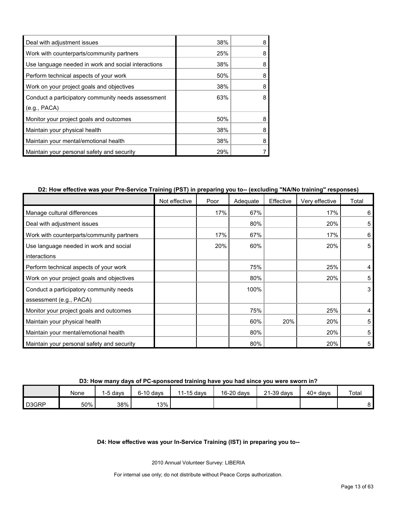| Deal with adjustment issues                         | 38% | 8 |
|-----------------------------------------------------|-----|---|
| Work with counterparts/community partners           | 25% | 8 |
| Use language needed in work and social interactions | 38% | 8 |
| Perform technical aspects of your work              | 50% | 8 |
| Work on your project goals and objectives           | 38% | 8 |
| Conduct a participatory community needs assessment  | 63% |   |
| (e.g., PACA)                                        |     |   |
| Monitor your project goals and outcomes             | 50% | 8 |
| Maintain your physical health                       | 38% | 8 |
| Maintain your mental/emotional health               | 38% | 8 |
| Maintain your personal safety and security          | 29% |   |

# **D2: How effective was your Pre-Service Training (PST) in preparing you to-- (excluding "NA/No training" responses)**

|                                            | Not effective | Poor | Adequate | Effective | Very effective | Total |
|--------------------------------------------|---------------|------|----------|-----------|----------------|-------|
| Manage cultural differences                |               | 17%  | 67%      |           | 17%            | 6     |
| Deal with adjustment issues                |               |      | 80%      |           | 20%            | 5     |
| Work with counterparts/community partners  |               | 17%  | 67%      |           | 17%            | 6     |
| Use language needed in work and social     |               | 20%  | 60%      |           | 20%            | 5     |
| interactions                               |               |      |          |           |                |       |
| Perform technical aspects of your work     |               |      | 75%      |           | 25%            | 4     |
| Work on your project goals and objectives  |               |      | 80%      |           | 20%            | 5     |
| Conduct a participatory community needs    |               |      | 100%     |           |                | 3     |
| assessment (e.g., PACA)                    |               |      |          |           |                |       |
| Monitor your project goals and outcomes    |               |      | 75%      |           | 25%            | 4     |
| Maintain your physical health              |               |      | 60%      | 20%       | 20%            | 5     |
| Maintain your mental/emotional health      |               |      | 80%      |           | 20%            | 5     |
| Maintain your personal safety and security |               |      | 80%      |           | 20%            | 5     |

**D3: How many days of PC-sponsored training have you had since you were sworn in?**

|                    | None | I-5 davs | $6-10$ davs | 11-15 days | 16-20 days | 21-39 days | $40+ days$ | Total |
|--------------------|------|----------|-------------|------------|------------|------------|------------|-------|
| D <sub>3</sub> GRP | 50%  | 38%      | 13%         |            |            |            |            |       |

# **D4: How effective was your In-Service Training (IST) in preparing you to--**

2010 Annual Volunteer Survey: LIBERIA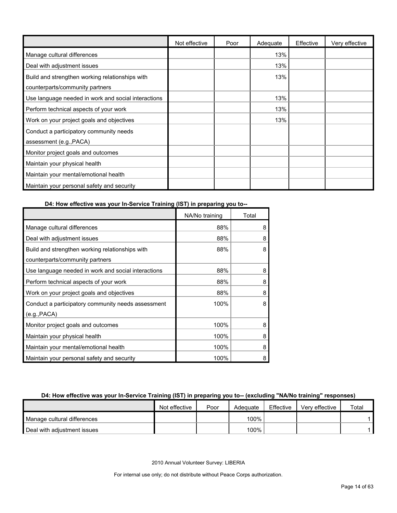|                                                     | Not effective | Poor | Adequate | Effective | Very effective |
|-----------------------------------------------------|---------------|------|----------|-----------|----------------|
| Manage cultural differences                         |               |      | 13%      |           |                |
| Deal with adjustment issues                         |               |      | 13%      |           |                |
| Build and strengthen working relationships with     |               |      | 13%      |           |                |
| counterparts/community partners                     |               |      |          |           |                |
| Use language needed in work and social interactions |               |      | 13%      |           |                |
| Perform technical aspects of your work              |               |      | 13%      |           |                |
| Work on your project goals and objectives           |               |      | 13%      |           |                |
| Conduct a participatory community needs             |               |      |          |           |                |
| assessment (e.g., PACA)                             |               |      |          |           |                |
| Monitor project goals and outcomes                  |               |      |          |           |                |
| Maintain your physical health                       |               |      |          |           |                |
| Maintain your mental/emotional health               |               |      |          |           |                |
| Maintain your personal safety and security          |               |      |          |           |                |

# **D4: How effective was your In-Service Training (IST) in preparing you to--**

|                                                     | NA/No training | Total |
|-----------------------------------------------------|----------------|-------|
| Manage cultural differences                         | 88%            | 8     |
| Deal with adjustment issues                         | 88%            | 8     |
| Build and strengthen working relationships with     | 88%            | 8     |
| counterparts/community partners                     |                |       |
| Use language needed in work and social interactions | 88%            | 8     |
| Perform technical aspects of your work              | 88%            | 8     |
| Work on your project goals and objectives           | 88%            | 8     |
| Conduct a participatory community needs assessment  | 100%           | 8     |
| (e.g., PACA)                                        |                |       |
| Monitor project goals and outcomes                  | 100%           | 8     |
| Maintain your physical health                       | 100%           | 8     |
| Maintain your mental/emotional health               | 100%           | 8     |
| Maintain your personal safety and security          | 100%           | 8     |

# **D4: How effective was your In-Service Training (IST) in preparing you to-- (excluding "NA/No training" responses)**

|                             | Not effective | Poor | Adequate | Effective | Verv effective | Total |
|-----------------------------|---------------|------|----------|-----------|----------------|-------|
| Manage cultural differences |               |      | 100%     |           |                |       |
| Deal with adiustment issues |               |      | 100%     |           |                |       |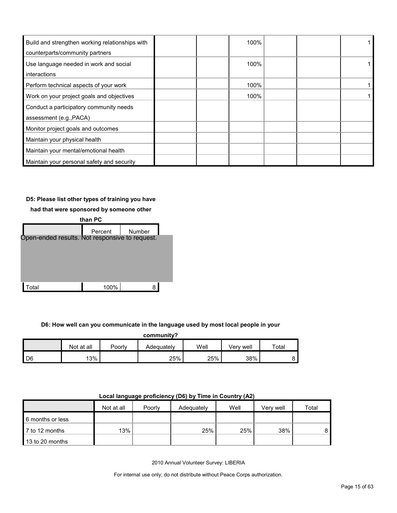| Build and strengthen working relationships with | 100% |  |
|-------------------------------------------------|------|--|
| counterparts/community partners                 |      |  |
| Use language needed in work and social          | 100% |  |
| interactions                                    |      |  |
| Perform technical aspects of your work          | 100% |  |
| Work on your project goals and objectives       | 100% |  |
| Conduct a participatory community needs         |      |  |
| assessment (e.g., PACA)                         |      |  |
| Monitor project goals and outcomes              |      |  |
| Maintain your physical health                   |      |  |
| Maintain your mental/emotional health           |      |  |
| Maintain your personal safety and security      |      |  |

# **D5: Please list other types of training you have**

**had that were sponsored by someone other** 



**D6: How well can you communicate in the language used by most local people in your** 

| community?     |            |        |            |      |           |       |  |  |  |
|----------------|------------|--------|------------|------|-----------|-------|--|--|--|
|                | Not at all | Poorlv | Adequately | Well | Verv well | Total |  |  |  |
| D <sub>6</sub> | 13%        |        | 25%        | 25%  | 38%       |       |  |  |  |

| Local language proficiency (D6) by Time in Country (A2) |  |  |  |
|---------------------------------------------------------|--|--|--|
|---------------------------------------------------------|--|--|--|

|                       | Not at all | Poorly | Adequately | Well | Very well | Total |
|-----------------------|------------|--------|------------|------|-----------|-------|
| 6 months or less      |            |        |            |      |           |       |
| <b>7</b> to 12 months | 13%        |        | 25%        | 25%  | 38%       |       |
| 13 to 20 months       |            |        |            |      |           |       |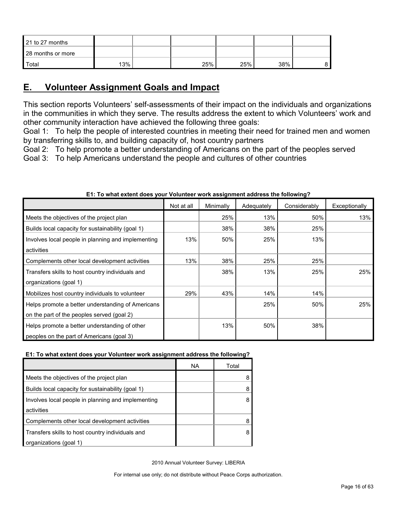| 21 to 27 months   |     |     |     |     |  |
|-------------------|-----|-----|-----|-----|--|
| 28 months or more |     |     |     |     |  |
| Total             | 13% | 25% | 25% | 38% |  |

# <span id="page-15-0"></span>**E. Volunteer Assignment Goals and Impact**

This section reports Volunteers' self-assessments of their impact on the individuals and organizations in the communities in which they serve. The results address the extent to which Volunteers' work and other community interaction have achieved the following three goals:

Goal 1: To help the people of interested countries in meeting their need for trained men and women by transferring skills to, and building capacity of, host country partners

Goal 2: To help promote a better understanding of Americans on the part of the peoples served

Goal 3: To help Americans understand the people and cultures of other countries

|                                                    | Not at all | Minimally | Adequately | Considerably | Exceptionally |
|----------------------------------------------------|------------|-----------|------------|--------------|---------------|
| Meets the objectives of the project plan           |            | 25%       | 13%        | 50%          | 13%           |
| Builds local capacity for sustainability (goal 1)  |            | 38%       | 38%        | 25%          |               |
| Involves local people in planning and implementing | 13%        | 50%       | 25%        | 13%          |               |
| activities                                         |            |           |            |              |               |
| Complements other local development activities     | 13%        | 38%       | 25%        | 25%          |               |
| Transfers skills to host country individuals and   |            | 38%       | 13%        | 25%          | 25%           |
| organizations (goal 1)                             |            |           |            |              |               |
| Mobilizes host country individuals to volunteer    | 29%        | 43%       | 14%        | 14%          |               |
| Helps promote a better understanding of Americans  |            |           | 25%        | 50%          | 25%           |
| on the part of the peoples served (goal 2)         |            |           |            |              |               |
| Helps promote a better understanding of other      |            | 13%       | 50%        | 38%          |               |
| peoples on the part of Americans (goal 3)          |            |           |            |              |               |

# **E1: To what extent does your Volunteer work assignment address the following?**

# **E1: To what extent does your Volunteer work assignment address the following?**

|                                                    | ΝA | Total |
|----------------------------------------------------|----|-------|
| Meets the objectives of the project plan           |    |       |
| Builds local capacity for sustainability (goal 1)  |    |       |
| Involves local people in planning and implementing |    |       |
| activities                                         |    |       |
| Complements other local development activities     |    |       |
| Transfers skills to host country individuals and   |    |       |
| organizations (goal 1)                             |    |       |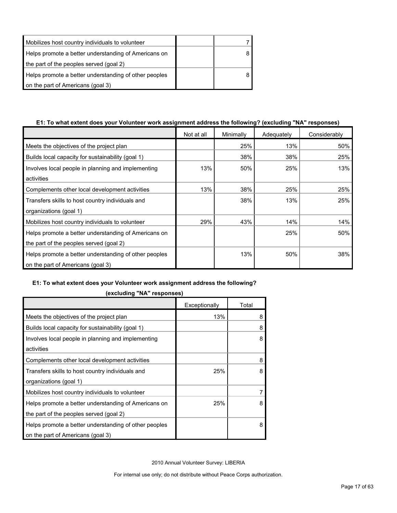| Mobilizes host country individuals to volunteer       |  |
|-------------------------------------------------------|--|
| Helps promote a better understanding of Americans on  |  |
| the part of the peoples served (goal 2)               |  |
| Helps promote a better understanding of other peoples |  |
| on the part of Americans (goal 3)                     |  |

# **E1: To what extent does your Volunteer work assignment address the following? (excluding "NA" responses)**

|                                                       | Not at all | Minimally | Adequately | Considerably |
|-------------------------------------------------------|------------|-----------|------------|--------------|
| Meets the objectives of the project plan              |            | 25%       | 13%        | 50%          |
| Builds local capacity for sustainability (goal 1)     |            | 38%       | 38%        | 25%          |
| Involves local people in planning and implementing    | 13%        | 50%       | 25%        | 13%          |
| activities                                            |            |           |            |              |
| Complements other local development activities        | 13%        | 38%       | 25%        | 25%          |
| Transfers skills to host country individuals and      |            | 38%       | 13%        | 25%          |
| organizations (goal 1)                                |            |           |            |              |
| Mobilizes host country individuals to volunteer       | 29%        | 43%       | 14%        | 14%          |
| Helps promote a better understanding of Americans on  |            |           | 25%        | 50%          |
| the part of the peoples served (goal 2)               |            |           |            |              |
| Helps promote a better understanding of other peoples |            | 13%       | 50%        | 38%          |
| on the part of Americans (goal 3)                     |            |           |            |              |

# **E1: To what extent does your Volunteer work assignment address the following?**

|                                                       | Exceptionally | Total |
|-------------------------------------------------------|---------------|-------|
| Meets the objectives of the project plan              | 13%           | 8     |
| Builds local capacity for sustainability (goal 1)     |               | 8     |
| Involves local people in planning and implementing    |               | 8     |
| activities                                            |               |       |
| Complements other local development activities        |               | 8     |
| Transfers skills to host country individuals and      | 25%           | 8     |
| organizations (goal 1)                                |               |       |
| Mobilizes host country individuals to volunteer       |               | 7     |
| Helps promote a better understanding of Americans on  | 25%           | 8     |
| the part of the peoples served (goal 2)               |               |       |
| Helps promote a better understanding of other peoples |               | 8     |
| on the part of Americans (goal 3)                     |               |       |

**(excluding "NA" responses)**

2010 Annual Volunteer Survey: LIBERIA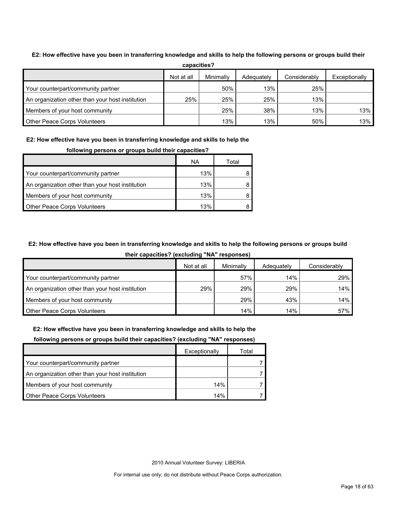| capacities?                                      |                                                                        |        |     |     |     |  |  |  |  |
|--------------------------------------------------|------------------------------------------------------------------------|--------|-----|-----|-----|--|--|--|--|
|                                                  | Minimally<br>Not at all<br>Considerably<br>Exceptionally<br>Adequately |        |     |     |     |  |  |  |  |
| Your counterpart/community partner               |                                                                        | $50\%$ | 13% | 25% |     |  |  |  |  |
| An organization other than your host institution | 25%                                                                    | 25%    | 25% | 13% |     |  |  |  |  |
| Members of your host community                   |                                                                        | 25%    | 38% | 13% | 13% |  |  |  |  |
| Other Peace Corps Volunteers                     |                                                                        | 13%    | 13% | 50% | 13% |  |  |  |  |

#### **E2: How effective have you been in transferring knowledge and skills to help the following persons or groups build their**

# **E2: How effective have you been in transferring knowledge and skills to help the**

|                                                  | ΝA  | Total |  |
|--------------------------------------------------|-----|-------|--|
| Your counterpart/community partner               | 13% |       |  |
| An organization other than your host institution | 13% |       |  |
| Members of your host community                   | 13% |       |  |
| <b>Other Peace Corps Volunteers</b>              | 13% |       |  |

#### **following persons or groups build their capacities?**

# **E2: How effective have you been in transferring knowledge and skills to help the following persons or groups build**

**their capacities? (excluding "NA" responses)**

|                                                  | Not at all | Minimally | Adequately | Considerably |
|--------------------------------------------------|------------|-----------|------------|--------------|
| Your counterpart/community partner               |            | 57%       | 14%        | 29%          |
| An organization other than your host institution | 29%        | 29%       | 29%        | 14%          |
| Members of your host community                   |            | 29%       | 43%        | 14%          |
| <b>Other Peace Corps Volunteers</b>              |            | 14%       | 14%        | 57%          |

#### **E2: How effective have you been in transferring knowledge and skills to help the**

#### **following persons or groups build their capacities? (excluding "NA" responses)**

|                                                  | Exceptionally | Total |
|--------------------------------------------------|---------------|-------|
| Your counterpart/community partner               |               |       |
| An organization other than your host institution |               |       |
| Members of your host community                   | 14%           |       |
| <b>Other Peace Corps Volunteers</b>              | 14%           |       |

2010 Annual Volunteer Survey: LIBERIA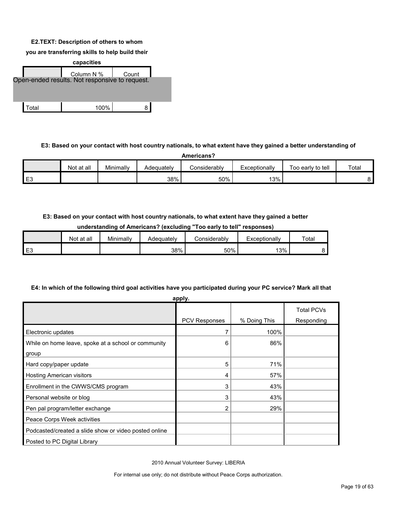#### **E2.TEXT: Description of others to whom**

**you are transferring skills to help build their** 



# **E3: Based on your contact with host country nationals, to what extent have they gained a better understanding of**

| Americans? |            |           |            |              |               |                   |       |
|------------|------------|-----------|------------|--------------|---------------|-------------------|-------|
|            | Not at all | Minimally | Adeauatelv | Considerably | Exceptionally | Too early to tell | Total |
| E3         |            |           | 38%        | 50%          | 13%           |                   |       |

# **E3: Based on your contact with host country nationals, to what extent have they gained a better**

| understanding of Americans? (excluding "Too early to tell" responses) |
|-----------------------------------------------------------------------|
|-----------------------------------------------------------------------|

|          | Not at all | Minimally | Adequatelv | Considerabl∨ | Exceptionally | Totai |
|----------|------------|-----------|------------|--------------|---------------|-------|
| ᄃ៝<br>∽∟ |            |           | 38%        | 50%          | 13%           |       |

### **E4: In which of the following third goal activities have you participated during your PC service? Mark all that**

| apply.                                                       |               |              |                                 |  |
|--------------------------------------------------------------|---------------|--------------|---------------------------------|--|
|                                                              | PCV Responses | % Doing This | <b>Total PCVs</b><br>Responding |  |
| Electronic updates                                           |               | 100%         |                                 |  |
| While on home leave, spoke at a school or community<br>group | 6             | 86%          |                                 |  |
| Hard copy/paper update                                       | 5             | 71%          |                                 |  |
| <b>Hosting American visitors</b>                             | 4             | 57%          |                                 |  |
| Enrollment in the CWWS/CMS program                           | 3             | 43%          |                                 |  |
| Personal website or blog                                     | 3             | 43%          |                                 |  |
| Pen pal program/letter exchange                              | 2             | 29%          |                                 |  |
| Peace Corps Week activities                                  |               |              |                                 |  |
| Podcasted/created a slide show or video posted online        |               |              |                                 |  |
| Posted to PC Digital Library                                 |               |              |                                 |  |

2010 Annual Volunteer Survey: LIBERIA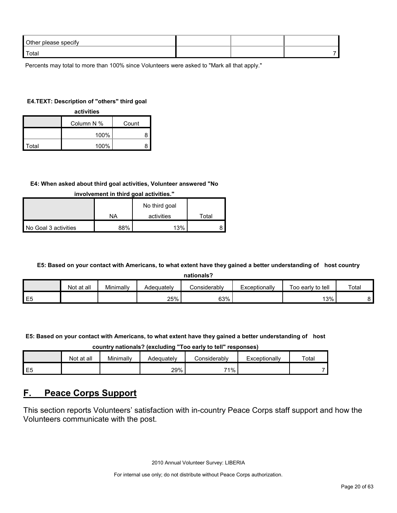| Other please specify |  |  |
|----------------------|--|--|
| Total                |  |  |

Percents may total to more than 100% since Volunteers were asked to "Mark all that apply."

#### **E4.TEXT: Description of "others" third goal**

| activities |                     |   |  |  |  |
|------------|---------------------|---|--|--|--|
|            | Column N %<br>Count |   |  |  |  |
|            | 100%                | 8 |  |  |  |
| Total      | 100%                | 8 |  |  |  |

#### **E4: When asked about third goal activities, Volunteer answered "No**

|                      |     | No third goal |       |
|----------------------|-----|---------------|-------|
|                      | NA  | activities    | ™otal |
| No Goal 3 activities | 88% | 13%           |       |

# **involvement in third goal activities."**

#### **E5: Based on your contact with Americans, to what extent have they gained a better understanding of host country**

| nationals? |
|------------|
|------------|

|                | at all<br>Not | Minimally | Adequately | Considerably | Exceptionally | Too early to tell | Total |
|----------------|---------------|-----------|------------|--------------|---------------|-------------------|-------|
| E <sub>5</sub> |               |           | 25%        | 63%          |               | 13%               |       |

#### **E5: Based on your contact with Americans, to what extent have they gained a better understanding of host**

**country nationals? (excluding "Too early to tell" responses)**

|                | Not at all | Minimally | Adequatelv | ≿onsiderablv | Exceptionally | Total |
|----------------|------------|-----------|------------|--------------|---------------|-------|
| E <sub>5</sub> |            |           | 29%        | 71%          |               |       |

# <span id="page-19-0"></span>**F. Peace Corps Support**

This section reports Volunteers' satisfaction with in-country Peace Corps staff support and how the Volunteers communicate with the post.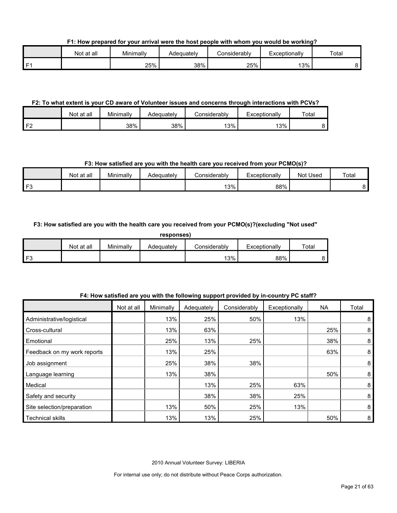**F1: How prepared for your arrival were the host people with whom you would be working?**

|      | Not at all | Minimally | Adequately | ≿onsiderablv | Exceptionally | Total |
|------|------------|-----------|------------|--------------|---------------|-------|
| l F1 |            | 25%       | 38%        | 25%          | 13%           |       |

# **F2: To what extent is your CD aware of Volunteer issues and concerns through interactions with PCVs?**

|                  | Not at all | Minimally | Adequatelv | ≿onsiderablv | Exceptionally | Total |
|------------------|------------|-----------|------------|--------------|---------------|-------|
| I F^<br><u>.</u> |            | 38%       | 38%        | 13%          | '3%           |       |

# **F3: How satisfied are you with the health care you received from your PCMO(s)?**

|              | Not at all | Minimally | Adequately | Considerably | Exceptionally | Not Used | Total |
|--------------|------------|-----------|------------|--------------|---------------|----------|-------|
| $\mathbf{r}$ |            |           |            | 13%          | 88%           |          |       |

# **F3: How satisfied are you with the health care you received from your PCMO(s)?(excluding "Not used"**

**responses)**

|      | Not at all | Minimally | Adeauatelv | Considerabl∨ | Exceptionally | Total |
|------|------------|-----------|------------|--------------|---------------|-------|
| l F3 |            |           |            | 13%          | 88%           |       |

|                             | Not at all | Minimally | Adequately | Considerably | Exceptionally | <b>NA</b> | Total |
|-----------------------------|------------|-----------|------------|--------------|---------------|-----------|-------|
| Administrative/logistical   |            | 13%       | 25%        | 50%          | 13%           |           | 8     |
| Cross-cultural              |            | 13%       | 63%        |              |               | 25%       | 8     |
| Emotional                   |            | 25%       | 13%        | 25%          |               | 38%       | 8     |
| Feedback on my work reports |            | 13%       | 25%        |              |               | 63%       | 8     |
| Job assignment              |            | 25%       | 38%        | 38%          |               |           | 8     |
| Language learning           |            | 13%       | 38%        |              |               | 50%       | 8     |
| Medical                     |            |           | 13%        | 25%          | 63%           |           | 8     |
| Safety and security         |            |           | 38%        | 38%          | 25%           |           | 8     |
| Site selection/preparation  |            | 13%       | 50%        | 25%          | 13%           |           | 8     |
| Technical skills            |            | 13%       | 13%        | 25%          |               | 50%       | 8     |

### **F4: How satisfied are you with the following support provided by in-country PC staff?**

2010 Annual Volunteer Survey: LIBERIA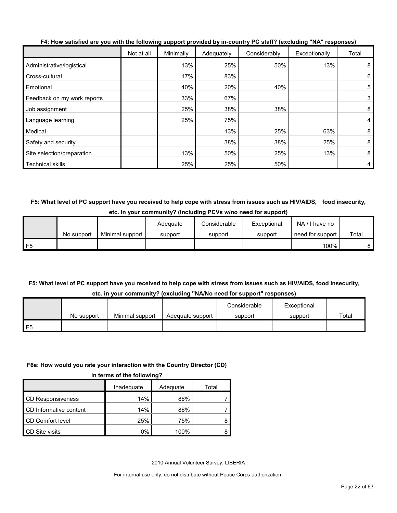|                             | Not at all | Minimally | Adequately | Considerably | Exceptionally | Total |
|-----------------------------|------------|-----------|------------|--------------|---------------|-------|
| Administrative/logistical   |            | 13%       | 25%        | 50%          | 13%           | 8     |
| Cross-cultural              |            | 17%       | 83%        |              |               | 6     |
| Emotional                   |            | 40%       | 20%        | 40%          |               | 5     |
| Feedback on my work reports |            | 33%       | 67%        |              |               | 3     |
| Job assignment              |            | 25%       | 38%        | 38%          |               | 8     |
| Language learning           |            | 25%       | 75%        |              |               | 4     |
| Medical                     |            |           | 13%        | 25%          | 63%           | 8     |
| Safety and security         |            |           | 38%        | 38%          | 25%           | 8     |
| Site selection/preparation  |            | 13%       | 50%        | 25%          | 13%           | 8     |
| <b>Technical skills</b>     |            | 25%       | 25%        | 50%          |               | 4     |

**F4: How satisfied are you with the following support provided by in-country PC staff? (excluding "NA" responses)**

**F5: What level of PC support have you received to help cope with stress from issues such as HIV/AIDS, food insecurity, etc. in your community? (Including PCVs w/no need for support)**

|    |            |                 | Adequate | Considerable | Exceptional | NA/I have no     |       |
|----|------------|-----------------|----------|--------------|-------------|------------------|-------|
|    | No support | Minimal support | support  | support      | support     | need for support | Total |
| F5 |            |                 |          |              |             | 100%             |       |

# **F5: What level of PC support have you received to help cope with stress from issues such as HIV/AIDS, food insecurity,**

|  | etc. in your community? (excluding "NA/No need for support" responses) |  |  |  |  |
|--|------------------------------------------------------------------------|--|--|--|--|
|--|------------------------------------------------------------------------|--|--|--|--|

|    |            |                 |                  | Considerable | Exceptional |       |
|----|------------|-----------------|------------------|--------------|-------------|-------|
|    | No support | Minimal support | Adequate support | support      | support     | Total |
| F5 |            |                 |                  |              |             |       |

#### **F6a: How would you rate your interaction with the Country Director (CD)**

|                          | Inadequate | Adequate | Total |
|--------------------------|------------|----------|-------|
| <b>CD Responsiveness</b> | 14%        | 86%      |       |
| CD Informative content   | 14%        | 86%      |       |
| CD Comfort level         | 25%        | 75%      |       |
| CD Site visits           | 0%         | 100%     |       |

2010 Annual Volunteer Survey: LIBERIA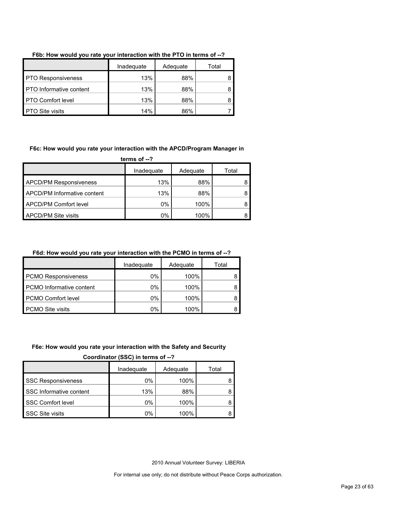|                                | Inadequate | Adequate | Total |
|--------------------------------|------------|----------|-------|
| <b>PTO Responsiveness</b>      | 13%        | 88%      |       |
| <b>PTO</b> Informative content | 13%        | 88%      |       |
| <b>PTO Comfort level</b>       | 13%        | 88%      |       |
| <b>PTO Site visits</b>         | 14%        | 86%      |       |

# **F6b: How would you rate your interaction with the PTO in terms of --?**

#### **F6c: How would you rate your interaction with the APCD/Program Manager in**

**terms of --?**

|                               | Inadequate | Adequate | Total |
|-------------------------------|------------|----------|-------|
| <b>APCD/PM Responsiveness</b> | 13%        | 88%      |       |
| APCD/PM Informative content   | 13%        | 88%      |       |
| <b>APCD/PM Comfort level</b>  | $0\%$      | 100%     |       |
| <b>APCD/PM Site visits</b>    | 0%         | 100%     |       |

# **F6d: How would you rate your interaction with the PCMO in terms of --?**

|                            | Inadequate | Adequate | Total |
|----------------------------|------------|----------|-------|
| <b>PCMO Responsiveness</b> | $0\%$      | 100%     |       |
| PCMO Informative content   | $0\%$      | 100%     |       |
| PCMO Comfort level         | 0%         | 100%     |       |
| <b>PCMO Site visits</b>    | 0%         | 100%     |       |

#### **F6e: How would you rate your interaction with the Safety and Security**

**Coordinator (SSC) in terms of --?**

|                           | Inadequate | Adequate | Total |
|---------------------------|------------|----------|-------|
| <b>SSC Responsiveness</b> | $0\%$      | 100%     |       |
| SSC Informative content   | 13%        | 88%      |       |
| <b>SSC Comfort level</b>  | $0\%$      | 100%     |       |
| <b>SSC Site visits</b>    | 0%         | 100%     |       |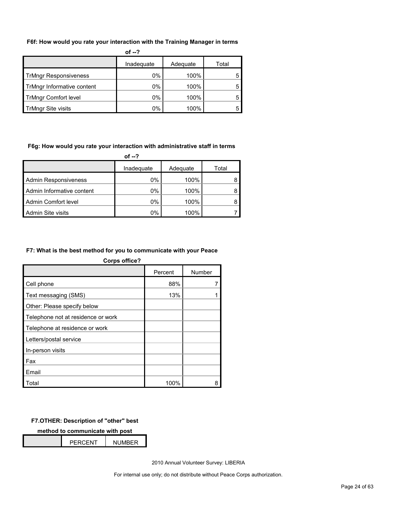#### **F6f: How would you rate your interaction with the Training Manager in terms**

|                              | of $-2$    |          |       |
|------------------------------|------------|----------|-------|
|                              | Inadequate | Adequate | Total |
| <b>TrMngr Responsiveness</b> | 0%         | 100%     |       |
| TrMngr Informative content   | 0%         | 100%     |       |
| <b>TrMngr Comfort level</b>  | 0%         | 100%     |       |
| <b>TrMngr Site visits</b>    | $0\%$      | 100%     |       |

#### **F6g: How would you rate your interaction with administrative staff in terms**

|                             | of --?     |          |       |
|-----------------------------|------------|----------|-------|
|                             | Inadequate | Adequate | Total |
| <b>Admin Responsiveness</b> | 0%         | 100%     |       |
| Admin Informative content   | 0%         | 100%     |       |
| Admin Comfort level         | 0%         | 100%     |       |
| Admin Site visits           | 0%         | 100%     |       |

#### **F7: What is the best method for you to communicate with your Peace**

| <b>Corps office?</b>               |         |        |
|------------------------------------|---------|--------|
|                                    | Percent | Number |
| Cell phone                         | 88%     |        |
| Text messaging (SMS)               | 13%     |        |
| Other: Please specify below        |         |        |
| Telephone not at residence or work |         |        |
| Telephone at residence or work     |         |        |
| Letters/postal service             |         |        |
| In-person visits                   |         |        |
| Fax                                |         |        |
| Email                              |         |        |
| Total                              | 100%    | 8      |

### **F7.OTHER: Description of "other" best**

**method to communicate with post**

| PFRCFNT | <b>NUMBER</b> |  |
|---------|---------------|--|
|         |               |  |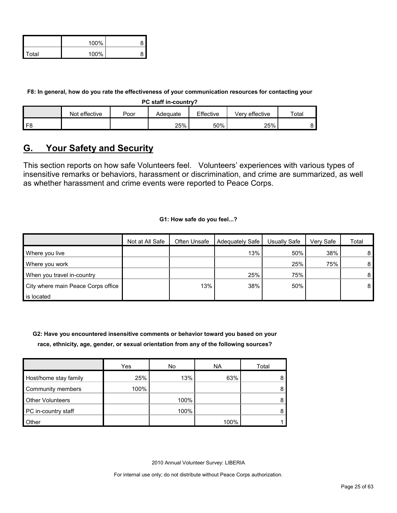|              | 100% |  |
|--------------|------|--|
| <b>Total</b> | 100% |  |

**F8: In general, how do you rate the effectiveness of your communication resources for contacting your** 

**PC staff in-country?**

|      | Not effective | Poor | Adequate | Effective | Verv effective | $\tau$ otai |
|------|---------------|------|----------|-----------|----------------|-------------|
| l F8 |               |      | 25%      | 50%       | 25%            |             |

# <span id="page-24-0"></span>**G. Your Safety and Security**

This section reports on how safe Volunteers feel. Volunteers' experiences with various types of insensitive remarks or behaviors, harassment or discrimination, and crime are summarized, as well as whether harassment and crime events were reported to Peace Corps.

#### **G1: How safe do you feel...?**

|                                    | Not at All Safe | Often Unsafe | Adequately Safe | Usually Safe | Verv Safe | Total          |
|------------------------------------|-----------------|--------------|-----------------|--------------|-----------|----------------|
| Where you live                     |                 |              | 13%             | 50%          | 38%       | 8 I            |
| Where you work                     |                 |              |                 | 25%          | 75%       | 8              |
| When you travel in-country         |                 |              | 25%             | 75%          |           | 8 <sup>1</sup> |
| City where main Peace Corps office |                 | 13%          | 38%             | 50%          |           | 8              |
| is located                         |                 |              |                 |              |           |                |

**G2: Have you encountered insensitive comments or behavior toward you based on your race, ethnicity, age, gender, or sexual orientation from any of the following sources?**

|                         | Yes  | No   | NA.  | Total |
|-------------------------|------|------|------|-------|
| Host/home stay family   | 25%  | 13%  | 63%  | 8     |
| Community members       | 100% |      |      | 8     |
| <b>Other Volunteers</b> |      | 100% |      | 8     |
| PC in-country staff     |      | 100% |      | 8     |
| Other                   |      |      | 100% |       |

2010 Annual Volunteer Survey: LIBERIA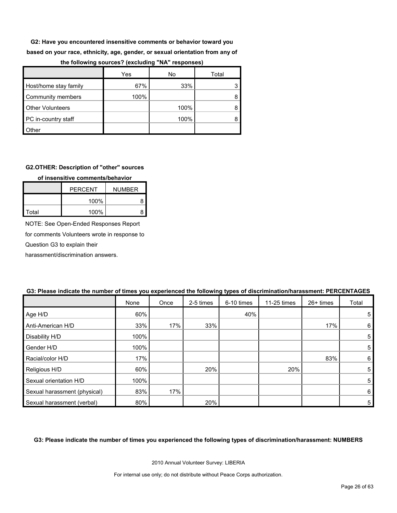**G2: Have you encountered insensitive comments or behavior toward you** 

**based on your race, ethnicity, age, gender, or sexual orientation from any of** 

|                         | Yes  | No   | Total |
|-------------------------|------|------|-------|
| Host/home stay family   | 67%  | 33%  |       |
| Community members       | 100% |      |       |
| <b>Other Volunteers</b> |      | 100% |       |
| PC in-country staff     |      | 100% |       |
| Other                   |      |      |       |

#### **the following sources? (excluding "NA" responses)**

#### **G2.OTHER: Description of "other" sources**

#### **of insensitive comments/behavior**

|       | <b>PERCENT</b> | <b>NUMBER</b> |
|-------|----------------|---------------|
|       | 100%           |               |
| Total | 100%           |               |

NOTE: See Open-Ended Responses Report

for comments Volunteers wrote in response to

Question G3 to explain their

harassment/discrimination answers.

|                              | None | Once | 2-5 times | 6-10 times | 11-25 times | 26+ times | Total |
|------------------------------|------|------|-----------|------------|-------------|-----------|-------|
| Age H/D                      | 60%  |      |           | 40%        |             |           | 5     |
| Anti-American H/D            | 33%  | 17%  | 33%       |            |             | 17%       | 6     |
| Disability H/D               | 100% |      |           |            |             |           | 5     |
| Gender H/D                   | 100% |      |           |            |             |           | 5     |
| Racial/color H/D             | 17%  |      |           |            |             | 83%       | 6     |
| Religious H/D                | 60%  |      | 20%       |            | 20%         |           | 5     |
| Sexual orientation H/D       | 100% |      |           |            |             |           | 5     |
| Sexual harassment (physical) | 83%  | 17%  |           |            |             |           | 6     |
| Sexual harassment (verbal)   | 80%  |      | 20%       |            |             |           | 5     |

# **G3: Please indicate the number of times you experienced the following types of discrimination/harassment: PERCENTAGES**

#### **G3: Please indicate the number of times you experienced the following types of discrimination/harassment: NUMBERS**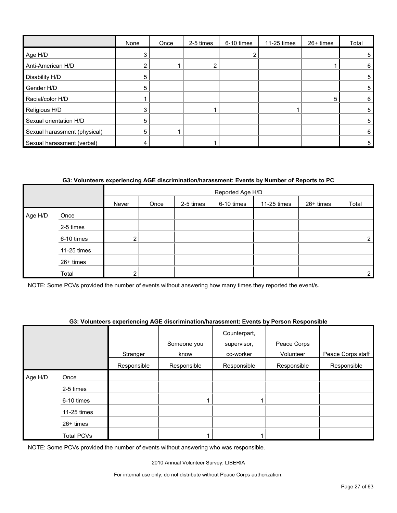|                              | None | Once | 2-5 times | 6-10 times | 11-25 times | 26+ times | Total |
|------------------------------|------|------|-----------|------------|-------------|-----------|-------|
| Age H/D                      | 3    |      |           |            |             |           |       |
| Anti-American H/D            | ◠    |      |           |            |             |           | 6     |
| Disability H/D               | 5    |      |           |            |             |           | 5     |
| Gender H/D                   | 5    |      |           |            |             |           | 5     |
| Racial/color H/D             |      |      |           |            |             | 5         | 6     |
| Religious H/D                | 3    |      |           |            |             |           | 5     |
| Sexual orientation H/D       | 5    |      |           |            |             |           | 5     |
| Sexual harassment (physical) | 5    |      |           |            |             |           | 6     |
| Sexual harassment (verbal)   |      |      |           |            |             |           | 5     |

# **G3: Volunteers experiencing AGE discrimination/harassment: Events by Number of Reports to PC**

|                                                                      |             |                |  |  | Reported Age H/D |  |  |                |
|----------------------------------------------------------------------|-------------|----------------|--|--|------------------|--|--|----------------|
| 26+ times<br>6-10 times<br>2-5 times<br>11-25 times<br>Never<br>Once |             |                |  |  |                  |  |  | Total          |
| Age H/D                                                              | Once        |                |  |  |                  |  |  |                |
|                                                                      | 2-5 times   |                |  |  |                  |  |  |                |
|                                                                      | 6-10 times  | 2 <sub>1</sub> |  |  |                  |  |  | $\overline{2}$ |
|                                                                      | 11-25 times |                |  |  |                  |  |  |                |
|                                                                      | 26+ times   |                |  |  |                  |  |  |                |
|                                                                      | Total       | ົ              |  |  |                  |  |  | $\overline{2}$ |

NOTE: Some PCVs provided the number of events without answering how many times they reported the event/s.

#### **G3: Volunteers experiencing AGE discrimination/harassment: Events by Person Responsible**

|         |                   |             | Someone you | Counterpart,<br>supervisor, | Peace Corps |                   |
|---------|-------------------|-------------|-------------|-----------------------------|-------------|-------------------|
|         |                   | Stranger    | know        | co-worker                   | Volunteer   | Peace Corps staff |
|         |                   | Responsible | Responsible | Responsible                 | Responsible | Responsible       |
| Age H/D | Once              |             |             |                             |             |                   |
|         | 2-5 times         |             |             |                             |             |                   |
|         | 6-10 times        |             |             |                             |             |                   |
|         | 11-25 times       |             |             |                             |             |                   |
|         | 26+ times         |             |             |                             |             |                   |
|         | <b>Total PCVs</b> |             |             |                             |             |                   |

NOTE: Some PCVs provided the number of events without answering who was responsible.

2010 Annual Volunteer Survey: LIBERIA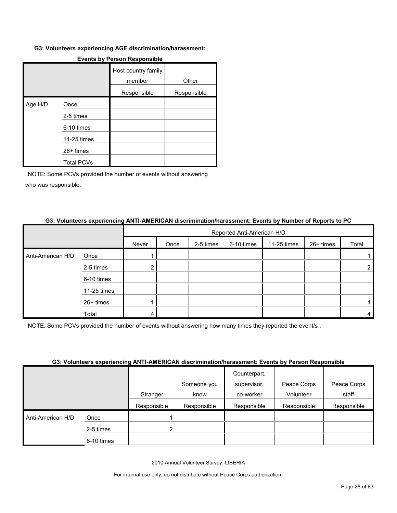#### **G3: Volunteers experiencing AGE discrimination/harassment:**

|         |                   | Host country family<br>member | Other       |
|---------|-------------------|-------------------------------|-------------|
|         |                   | Responsible                   | Responsible |
| Age H/D | Once              |                               |             |
|         | 2-5 times         |                               |             |
|         | 6-10 times        |                               |             |
|         | 11-25 times       |                               |             |
|         | 26+ times         |                               |             |
|         | <b>Total PCVs</b> |                               |             |

# **Events by Person Responsible**

NOTE: Some PCVs provided the number of events without answering who was responsible.

#### **G3: Volunteers experiencing ANTI-AMERICAN discrimination/harassment: Events by Number of Reports to PC**

|                   |             |       | Reported Anti-American H/D |           |            |             |           |       |
|-------------------|-------------|-------|----------------------------|-----------|------------|-------------|-----------|-------|
|                   |             | Never | Once                       | 2-5 times | 6-10 times | 11-25 times | 26+ times | Total |
| Anti-American H/D | Once        |       |                            |           |            |             |           |       |
|                   | 2-5 times   | ົ     |                            |           |            |             |           | 2     |
|                   | 6-10 times  |       |                            |           |            |             |           |       |
|                   | 11-25 times |       |                            |           |            |             |           |       |
|                   | 26+ times   |       |                            |           |            |             |           |       |
|                   | Total       | 4     |                            |           |            |             |           | 4     |

NOTE: Some PCVs provided the number of events without answering how many times they reported the event/s .

#### **G3: Volunteers experiencing ANTI-AMERICAN discrimination/harassment: Events by Person Responsible**

|                   |            |             |             | Counterpart, |             |             |
|-------------------|------------|-------------|-------------|--------------|-------------|-------------|
|                   |            |             | Someone you | supervisor,  | Peace Corps | Peace Corps |
|                   |            | Stranger    | know        | co-worker    | Volunteer   | staff       |
|                   |            | Responsible | Responsible | Responsible  | Responsible | Responsible |
| Anti-American H/D | Once       |             |             |              |             |             |
|                   | 2-5 times  | c           |             |              |             |             |
|                   | 6-10 times |             |             |              |             |             |

2010 Annual Volunteer Survey: LIBERIA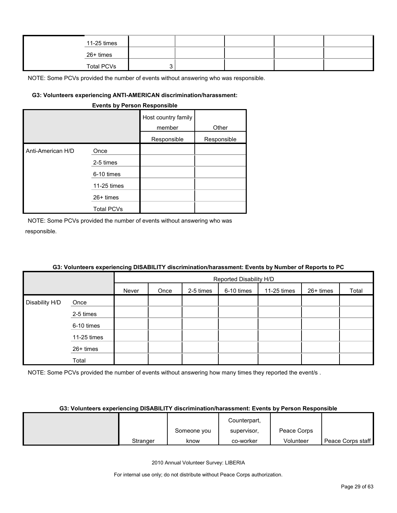| 11-25 times       |  |  |  |
|-------------------|--|--|--|
| 26+ times         |  |  |  |
| <b>Total PCVs</b> |  |  |  |

NOTE: Some PCVs provided the number of events without answering who was responsible.

#### **G3: Volunteers experiencing ANTI-AMERICAN discrimination/harassment:**

| EXERIS DY LEISOII DESPOISIDIE |                   |                               |             |  |  |  |  |  |
|-------------------------------|-------------------|-------------------------------|-------------|--|--|--|--|--|
|                               |                   | Host country family<br>member | Other       |  |  |  |  |  |
|                               |                   | Responsible                   | Responsible |  |  |  |  |  |
| Anti-American H/D             | Once              |                               |             |  |  |  |  |  |
|                               | 2-5 times         |                               |             |  |  |  |  |  |
|                               | 6-10 times        |                               |             |  |  |  |  |  |
|                               | 11-25 times       |                               |             |  |  |  |  |  |
|                               | $26+$ times       |                               |             |  |  |  |  |  |
|                               | <b>Total PCVs</b> |                               |             |  |  |  |  |  |

**Events by Person Responsible**

NOTE: Some PCVs provided the number of events without answering who was responsible.

|                |             |       |      |           | Reported Disability H/D |             |           |       |  |  |
|----------------|-------------|-------|------|-----------|-------------------------|-------------|-----------|-------|--|--|
|                |             | Never | Once | 2-5 times | 6-10 times              | 11-25 times | 26+ times | Total |  |  |
| Disability H/D | Once        |       |      |           |                         |             |           |       |  |  |
|                | 2-5 times   |       |      |           |                         |             |           |       |  |  |
|                | 6-10 times  |       |      |           |                         |             |           |       |  |  |
|                | 11-25 times |       |      |           |                         |             |           |       |  |  |
|                | 26+ times   |       |      |           |                         |             |           |       |  |  |
|                | Total       |       |      |           |                         |             |           |       |  |  |

#### **G3: Volunteers experiencing DISABILITY discrimination/harassment: Events by Number of Reports to PC**

NOTE: Some PCVs provided the number of events without answering how many times they reported the event/s.

#### **G3: Volunteers experiencing DISABILITY discrimination/harassment: Events by Person Responsible**

|          |             | Counterpart, |             |                   |
|----------|-------------|--------------|-------------|-------------------|
|          | Someone you | supervisor,  | Peace Corps |                   |
| Stranger | know        | co-worker    | Volunteer   | Peace Corps staff |

2010 Annual Volunteer Survey: LIBERIA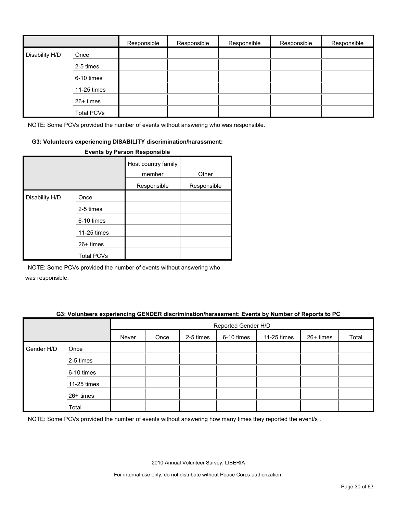|                |                   | Responsible | Responsible | Responsible | Responsible | Responsible |
|----------------|-------------------|-------------|-------------|-------------|-------------|-------------|
| Disability H/D | Once              |             |             |             |             |             |
|                | 2-5 times         |             |             |             |             |             |
|                | 6-10 times        |             |             |             |             |             |
|                | 11-25 times       |             |             |             |             |             |
|                | 26+ times         |             |             |             |             |             |
|                | <b>Total PCVs</b> |             |             |             |             |             |

NOTE: Some PCVs provided the number of events without answering who was responsible.

#### **G3: Volunteers experiencing DISABILITY discrimination/harassment:**

|                |                   | Host country family<br>member | Other       |
|----------------|-------------------|-------------------------------|-------------|
|                |                   | Responsible                   | Responsible |
| Disability H/D | Once              |                               |             |
|                | 2-5 times         |                               |             |
|                | 6-10 times        |                               |             |
|                | 11-25 times       |                               |             |
|                | $26+$ times       |                               |             |
|                | <b>Total PCVs</b> |                               |             |

#### **Events by Person Responsible**

NOTE: Some PCVs provided the number of events without answering who

was responsible.

#### **G3: Volunteers experiencing GENDER discrimination/harassment: Events by Number of Reports to PC**

|            |             | Reported Gender H/D |      |           |            |             |           |       |  |
|------------|-------------|---------------------|------|-----------|------------|-------------|-----------|-------|--|
|            |             | Never               | Once | 2-5 times | 6-10 times | 11-25 times | 26+ times | Total |  |
| Gender H/D | Once        |                     |      |           |            |             |           |       |  |
|            | 2-5 times   |                     |      |           |            |             |           |       |  |
|            | 6-10 times  |                     |      |           |            |             |           |       |  |
|            | 11-25 times |                     |      |           |            |             |           |       |  |
|            | 26+ times   |                     |      |           |            |             |           |       |  |
|            | Total       |                     |      |           |            |             |           |       |  |

NOTE: Some PCVs provided the number of events without answering how many times they reported the event/s .

2010 Annual Volunteer Survey: LIBERIA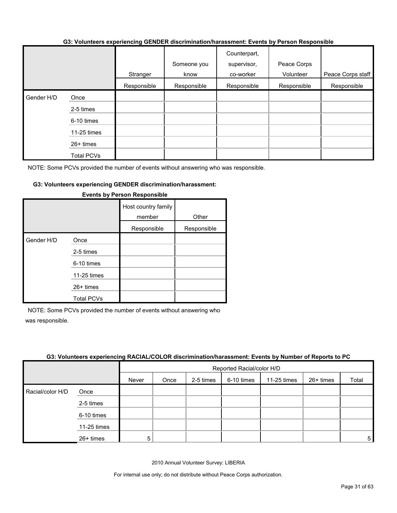#### **G3: Volunteers experiencing GENDER discrimination/harassment: Events by Person Responsible**

|            |             | Stranger    | Someone you<br>know | Counterpart,<br>supervisor,<br>co-worker | Peace Corps<br>Volunteer | Peace Corps staff |
|------------|-------------|-------------|---------------------|------------------------------------------|--------------------------|-------------------|
|            |             | Responsible | Responsible         | Responsible                              | Responsible              | Responsible       |
|            |             |             |                     |                                          |                          |                   |
| Gender H/D | Once        |             |                     |                                          |                          |                   |
|            | 2-5 times   |             |                     |                                          |                          |                   |
|            | 6-10 times  |             |                     |                                          |                          |                   |
|            | 11-25 times |             |                     |                                          |                          |                   |
|            | $26+$ times |             |                     |                                          |                          |                   |
|            | Total PCVs  |             |                     |                                          |                          |                   |

NOTE: Some PCVs provided the number of events without answering who was responsible.

#### **G3: Volunteers experiencing GENDER discrimination/harassment:**

|            |                   | Host country family<br>member | Other       |
|------------|-------------------|-------------------------------|-------------|
|            |                   | Responsible                   | Responsible |
| Gender H/D | Once              |                               |             |
|            | 2-5 times         |                               |             |
|            | 6-10 times        |                               |             |
|            | 11-25 times       |                               |             |
|            | $26+$ times       |                               |             |
|            | <b>Total PCVs</b> |                               |             |

#### **Events by Person Responsible**

NOTE: Some PCVs provided the number of events without answering who was responsible.

#### **G3: Volunteers experiencing RACIAL/COLOR discrimination/harassment: Events by Number of Reports to PC**

|                  |             |       | Reported Racial/color H/D |           |            |             |           |       |
|------------------|-------------|-------|---------------------------|-----------|------------|-------------|-----------|-------|
|                  |             | Never | Once                      | 2-5 times | 6-10 times | 11-25 times | 26+ times | Total |
| Racial/color H/D | Once        |       |                           |           |            |             |           |       |
|                  | 2-5 times   |       |                           |           |            |             |           |       |
|                  | 6-10 times  |       |                           |           |            |             |           |       |
|                  | 11-25 times |       |                           |           |            |             |           |       |
|                  | 26+ times   | 5     |                           |           |            |             |           | 5     |

2010 Annual Volunteer Survey: LIBERIA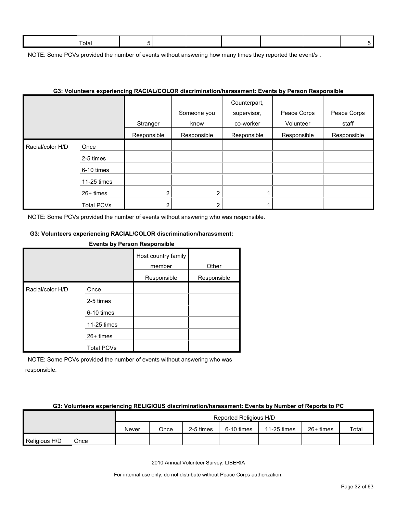NOTE: Some PCVs provided the number of events without answering how many times they reported the event/s.

#### **G3: Volunteers experiencing RACIAL/COLOR discrimination/harassment: Events by Person Responsible**

|                  |                   | Stranger    | Someone you<br>know | Counterpart,<br>supervisor,<br>co-worker | Peace Corps<br>Volunteer | Peace Corps<br>staff |
|------------------|-------------------|-------------|---------------------|------------------------------------------|--------------------------|----------------------|
|                  |                   | Responsible | Responsible         | Responsible                              | Responsible              | Responsible          |
| Racial/color H/D | Once              |             |                     |                                          |                          |                      |
|                  | 2-5 times         |             |                     |                                          |                          |                      |
|                  | 6-10 times        |             |                     |                                          |                          |                      |
|                  | 11-25 times       |             |                     |                                          |                          |                      |
|                  | $26+$ times       | ົ           | ◠                   |                                          |                          |                      |
|                  | <b>Total PCVs</b> |             |                     |                                          |                          |                      |

NOTE: Some PCVs provided the number of events without answering who was responsible.

# **G3: Volunteers experiencing RACIAL/COLOR discrimination/harassment:**

#### **Events by Person Responsible**

|                  |                   | Host country family<br>member | Other       |
|------------------|-------------------|-------------------------------|-------------|
|                  |                   | Responsible                   | Responsible |
| Racial/color H/D | Once              |                               |             |
|                  | 2-5 times         |                               |             |
|                  | 6-10 times        |                               |             |
|                  | 11-25 times       |                               |             |
|                  | 26+ times         |                               |             |
|                  | <b>Total PCVs</b> |                               |             |

NOTE: Some PCVs provided the number of events without answering who was responsible.

#### **G3: Volunteers experiencing RELIGIOUS discrimination/harassment: Events by Number of Reports to PC**

|               |      |       | Reported Religious H/D |           |            |             |             |       |  |
|---------------|------|-------|------------------------|-----------|------------|-------------|-------------|-------|--|
|               |      | Never | Once                   | 2-5 times | 6-10 times | 11-25 times | $26+$ times | Total |  |
| Religious H/D | Once |       |                        |           |            |             |             |       |  |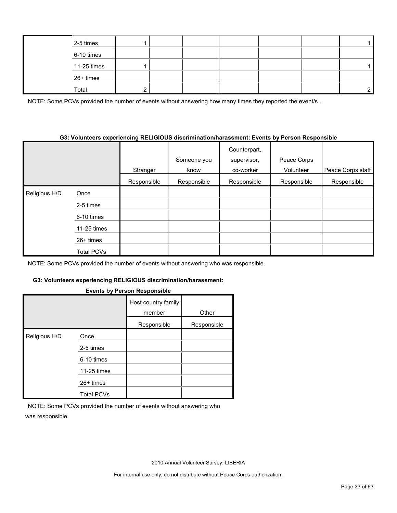| 2-5 times   |  |  |  |  |
|-------------|--|--|--|--|
| 6-10 times  |  |  |  |  |
| 11-25 times |  |  |  |  |
| 26+ times   |  |  |  |  |
| Total       |  |  |  |  |

NOTE: Some PCVs provided the number of events without answering how many times they reported the event/s.

#### **G3: Volunteers experiencing RELIGIOUS discrimination/harassment: Events by Person Responsible**

|               |                   | Stranger    | Someone you<br>know | Counterpart,<br>supervisor,<br>co-worker | Peace Corps<br>Volunteer | Peace Corps staff |
|---------------|-------------------|-------------|---------------------|------------------------------------------|--------------------------|-------------------|
|               |                   | Responsible | Responsible         | Responsible                              | Responsible              | Responsible       |
| Religious H/D | Once              |             |                     |                                          |                          |                   |
|               | 2-5 times         |             |                     |                                          |                          |                   |
|               | 6-10 times        |             |                     |                                          |                          |                   |
|               | 11-25 times       |             |                     |                                          |                          |                   |
|               | $26+$ times       |             |                     |                                          |                          |                   |
|               | <b>Total PCVs</b> |             |                     |                                          |                          |                   |

NOTE: Some PCVs provided the number of events without answering who was responsible.

### **G3: Volunteers experiencing RELIGIOUS discrimination/harassment:**

#### **Events by Person Responsible**

|               |                   | Host country family<br>member | Other       |
|---------------|-------------------|-------------------------------|-------------|
|               |                   | Responsible                   | Responsible |
| Religious H/D | Once              |                               |             |
|               | 2-5 times         |                               |             |
|               | 6-10 times        |                               |             |
|               | 11-25 times       |                               |             |
|               | $26+$ times       |                               |             |
|               | <b>Total PCVs</b> |                               |             |

NOTE: Some PCVs provided the number of events without answering who was responsible.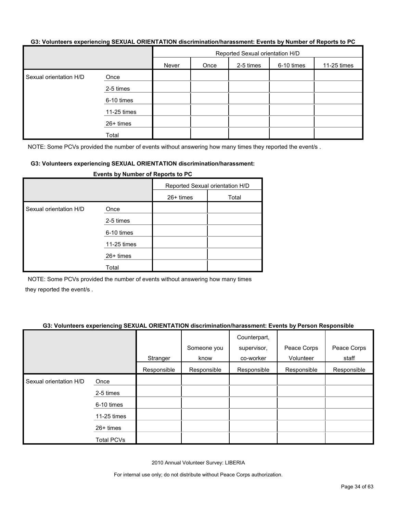#### **G3: Volunteers experiencing SEXUAL ORIENTATION discrimination/harassment: Events by Number of Reports to PC**

|                        |             | Reported Sexual orientation H/D |      |           |            |             |  |
|------------------------|-------------|---------------------------------|------|-----------|------------|-------------|--|
|                        |             | Never                           | Once | 2-5 times | 6-10 times | 11-25 times |  |
| Sexual orientation H/D | Once        |                                 |      |           |            |             |  |
|                        | 2-5 times   |                                 |      |           |            |             |  |
|                        | 6-10 times  |                                 |      |           |            |             |  |
|                        | 11-25 times |                                 |      |           |            |             |  |
|                        | 26+ times   |                                 |      |           |            |             |  |
|                        | Total       |                                 |      |           |            |             |  |

NOTE: Some PCVs provided the number of events without answering how many times they reported the event/s.

#### **G3: Volunteers experiencing SEXUAL ORIENTATION discrimination/harassment:**

|                        | Events by Number of Reports to PC |                                 |       |
|------------------------|-----------------------------------|---------------------------------|-------|
|                        |                                   | Reported Sexual orientation H/D |       |
|                        |                                   | $26+$ times                     | Total |
| Sexual orientation H/D | Once                              |                                 |       |
|                        | 2-5 times                         |                                 |       |
|                        | 6-10 times                        |                                 |       |
|                        | 11-25 times                       |                                 |       |
|                        | 26+ times                         |                                 |       |
|                        | Total                             |                                 |       |

NOTE: Some PCVs provided the number of events without answering how many times they reported the event/s .

#### **G3: Volunteers experiencing SEXUAL ORIENTATION discrimination/harassment: Events by Person Responsible**

|                        |                   | Stranger    | Someone you<br>know | Counterpart,<br>supervisor,<br>co-worker | Peace Corps<br>Volunteer | Peace Corps<br>staff |
|------------------------|-------------------|-------------|---------------------|------------------------------------------|--------------------------|----------------------|
|                        |                   | Responsible | Responsible         | Responsible                              | Responsible              | Responsible          |
| Sexual orientation H/D | Once              |             |                     |                                          |                          |                      |
|                        | 2-5 times         |             |                     |                                          |                          |                      |
|                        | 6-10 times        |             |                     |                                          |                          |                      |
|                        | 11-25 times       |             |                     |                                          |                          |                      |
|                        | $26+$ times       |             |                     |                                          |                          |                      |
|                        | <b>Total PCVs</b> |             |                     |                                          |                          |                      |

2010 Annual Volunteer Survey: LIBERIA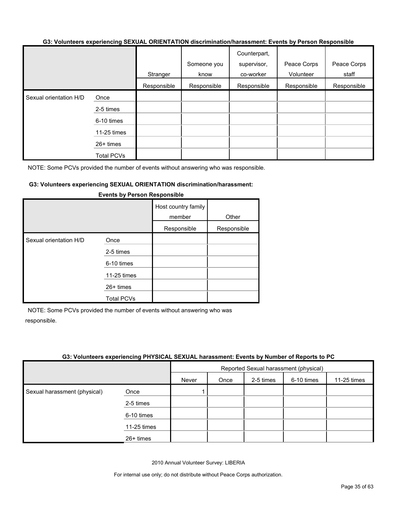#### **G3: Volunteers experiencing SEXUAL ORIENTATION discrimination/harassment: Events by Person Responsible**

|                        |                   |             | Someone you | Counterpart,<br>supervisor, | Peace Corps | Peace Corps |
|------------------------|-------------------|-------------|-------------|-----------------------------|-------------|-------------|
|                        |                   | Stranger    | know        | co-worker                   | Volunteer   | staff       |
|                        |                   | Responsible | Responsible | Responsible                 | Responsible | Responsible |
| Sexual orientation H/D | Once              |             |             |                             |             |             |
|                        | 2-5 times         |             |             |                             |             |             |
|                        | 6-10 times        |             |             |                             |             |             |
|                        | 11-25 times       |             |             |                             |             |             |
|                        | 26+ times         |             |             |                             |             |             |
|                        | <b>Total PCVs</b> |             |             |                             |             |             |

NOTE: Some PCVs provided the number of events without answering who was responsible.

#### **G3: Volunteers experiencing SEXUAL ORIENTATION discrimination/harassment:**

|                        |                   | Host country family<br>member<br>Responsible | Other<br>Responsible |
|------------------------|-------------------|----------------------------------------------|----------------------|
| Sexual orientation H/D | Once              |                                              |                      |
|                        | 2-5 times         |                                              |                      |
|                        | 6-10 times        |                                              |                      |
|                        | 11-25 times       |                                              |                      |
|                        | $26+$ times       |                                              |                      |
|                        | <b>Total PCVs</b> |                                              |                      |

#### **Events by Person Responsible**

NOTE: Some PCVs provided the number of events without answering who was responsible.

#### **G3: Volunteers experiencing PHYSICAL SEXUAL harassment: Events by Number of Reports to PC**

|                              |             | Reported Sexual harassment (physical) |      |           |            |             |  |
|------------------------------|-------------|---------------------------------------|------|-----------|------------|-------------|--|
|                              |             | Never                                 | Once | 2-5 times | 6-10 times | 11-25 times |  |
| Sexual harassment (physical) | Once        |                                       |      |           |            |             |  |
|                              | 2-5 times   |                                       |      |           |            |             |  |
|                              | 6-10 times  |                                       |      |           |            |             |  |
|                              | 11-25 times |                                       |      |           |            |             |  |
|                              | $26+$ times |                                       |      |           |            |             |  |

2010 Annual Volunteer Survey: LIBERIA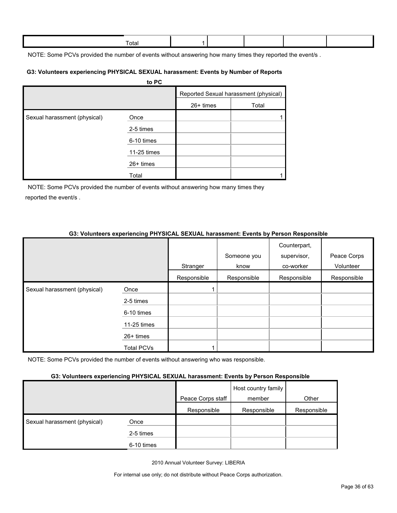| ⊺ota |  |  |  |
|------|--|--|--|
|      |  |  |  |

NOTE: Some PCVs provided the number of events without answering how many times they reported the event/s.

#### **G3: Volunteers experiencing PHYSICAL SEXUAL harassment: Events by Number of Reports**

|                              | to PC       |           |                                       |
|------------------------------|-------------|-----------|---------------------------------------|
|                              |             |           | Reported Sexual harassment (physical) |
|                              |             | 26+ times | Total                                 |
| Sexual harassment (physical) | Once        |           |                                       |
|                              | 2-5 times   |           |                                       |
|                              | 6-10 times  |           |                                       |
|                              | 11-25 times |           |                                       |
|                              | 26+ times   |           |                                       |
|                              | Total       |           |                                       |

NOTE: Some PCVs provided the number of events without answering how many times they reported the event/s .

# **G3: Volunteers experiencing PHYSICAL SEXUAL harassment: Events by Person Responsible**

|                              |             |             | Someone you | Counterpart,<br>supervisor, | Peace Corps |
|------------------------------|-------------|-------------|-------------|-----------------------------|-------------|
|                              |             | Stranger    | know        | co-worker                   | Volunteer   |
|                              |             | Responsible | Responsible | Responsible                 | Responsible |
| Sexual harassment (physical) | Once        |             |             |                             |             |
|                              | 2-5 times   |             |             |                             |             |
|                              | 6-10 times  |             |             |                             |             |
|                              | 11-25 times |             |             |                             |             |
|                              | 26+ times   |             |             |                             |             |
|                              | Total PCVs  |             |             |                             |             |

NOTE: Some PCVs provided the number of events without answering who was responsible.

#### **G3: Volunteers experiencing PHYSICAL SEXUAL harassment: Events by Person Responsible**

|                              |            | Peace Corps staff | Host country family<br>member | Other       |
|------------------------------|------------|-------------------|-------------------------------|-------------|
|                              |            | Responsible       | Responsible                   | Responsible |
| Sexual harassment (physical) | Once       |                   |                               |             |
|                              | 2-5 times  |                   |                               |             |
|                              | 6-10 times |                   |                               |             |

2010 Annual Volunteer Survey: LIBERIA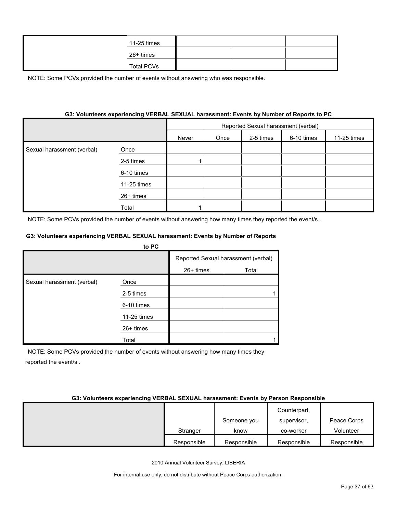| 11-25 times |  |  |
|-------------|--|--|
| 26+ times   |  |  |
| Total PCVs  |  |  |

NOTE: Some PCVs provided the number of events without answering who was responsible.

# **G3: Volunteers experiencing VERBAL SEXUAL harassment: Events by Number of Reports to PC**

|                            |             | Reported Sexual harassment (verbal) |      |           |            |             |  |
|----------------------------|-------------|-------------------------------------|------|-----------|------------|-------------|--|
|                            |             | Never                               | Once | 2-5 times | 6-10 times | 11-25 times |  |
| Sexual harassment (verbal) | Once        |                                     |      |           |            |             |  |
|                            | 2-5 times   |                                     |      |           |            |             |  |
|                            | 6-10 times  |                                     |      |           |            |             |  |
|                            | 11-25 times |                                     |      |           |            |             |  |
|                            | 26+ times   |                                     |      |           |            |             |  |
|                            | Total       |                                     |      |           |            |             |  |

NOTE: Some PCVs provided the number of events without answering how many times they reported the event/s .

#### **G3: Volunteers experiencing VERBAL SEXUAL harassment: Events by Number of Reports**

|                            | to PC       |           |                                     |
|----------------------------|-------------|-----------|-------------------------------------|
|                            |             |           | Reported Sexual harassment (verbal) |
|                            |             | 26+ times | Total                               |
| Sexual harassment (verbal) | Once        |           |                                     |
|                            | 2-5 times   |           |                                     |
|                            | 6-10 times  |           |                                     |
|                            | 11-25 times |           |                                     |
|                            | $26+$ times |           |                                     |
|                            | Total       |           |                                     |

NOTE: Some PCVs provided the number of events without answering how many times they reported the event/s .

#### **G3: Volunteers experiencing VERBAL SEXUAL harassment: Events by Person Responsible**

|             |             | Counterpart, |             |
|-------------|-------------|--------------|-------------|
|             | Someone you | supervisor,  | Peace Corps |
| Stranger    | know        | co-worker    | Volunteer   |
| Responsible | Responsible | Responsible  | Responsible |

2010 Annual Volunteer Survey: LIBERIA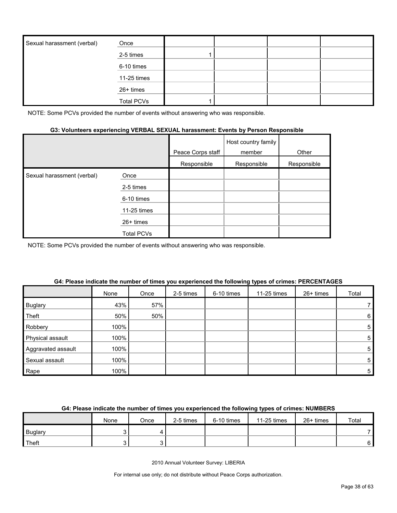| Sexual harassment (verbal) | Once              |  |  |
|----------------------------|-------------------|--|--|
|                            | 2-5 times         |  |  |
|                            | 6-10 times        |  |  |
|                            | 11-25 times       |  |  |
|                            | 26+ times         |  |  |
|                            | <b>Total PCVs</b> |  |  |

NOTE: Some PCVs provided the number of events without answering who was responsible.

# **G3: Volunteers experiencing VERBAL SEXUAL harassment: Events by Person Responsible**

|                            |             | Peace Corps staff | Host country family<br>member | Other       |
|----------------------------|-------------|-------------------|-------------------------------|-------------|
|                            |             | Responsible       | Responsible                   | Responsible |
| Sexual harassment (verbal) | Once        |                   |                               |             |
|                            | 2-5 times   |                   |                               |             |
|                            | 6-10 times  |                   |                               |             |
|                            | 11-25 times |                   |                               |             |
|                            | $26+$ times |                   |                               |             |
|                            | Total PCVs  |                   |                               |             |

NOTE: Some PCVs provided the number of events without answering who was responsible.

|                    | None | Once | 2-5 times | 6-10 times | 11-25 times | 26+ times | Total |
|--------------------|------|------|-----------|------------|-------------|-----------|-------|
| <b>Buglary</b>     | 43%  | 57%  |           |            |             |           |       |
| Theft              | 50%  | 50%  |           |            |             |           | 6     |
| Robbery            | 100% |      |           |            |             |           | 5     |
| Physical assault   | 100% |      |           |            |             |           | 5     |
| Aggravated assault | 100% |      |           |            |             |           | 5     |
| Sexual assault     | 100% |      |           |            |             |           | 5     |
| Rape               | 100% |      |           |            |             |           | 5     |

#### **G4: Please indicate the number of times you experienced the following types of crimes: PERCENTAGES**

# **G4: Please indicate the number of times you experienced the following types of crimes: NUMBERS**

|                | None | Once | 2-5 times | 6-10 times | 11-25 times | 26+ times | Total |
|----------------|------|------|-----------|------------|-------------|-----------|-------|
| <b>Buglary</b> |      |      |           |            |             |           |       |
| Theft          |      |      |           |            |             |           | 6 I   |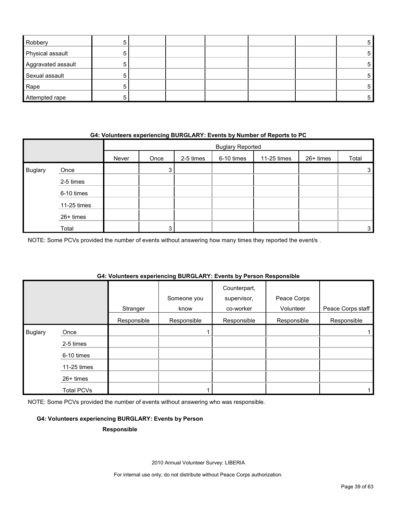| Robbery            |  |  |  | 5  |
|--------------------|--|--|--|----|
| Physical assault   |  |  |  | 5. |
| Aggravated assault |  |  |  | 5. |
| Sexual assault     |  |  |  | 5  |
| Rape               |  |  |  | 5  |
| Attempted rape     |  |  |  | 5. |

### **G4: Volunteers experiencing BURGLARY: Events by Number of Reports to PC**

|                |             |       | <b>Buglary Reported</b> |           |            |             |           |       |
|----------------|-------------|-------|-------------------------|-----------|------------|-------------|-----------|-------|
|                |             | Never | Once                    | 2-5 times | 6-10 times | 11-25 times | 26+ times | Total |
| <b>Buglary</b> | Once        |       | 3                       |           |            |             |           | 3     |
|                | 2-5 times   |       |                         |           |            |             |           |       |
|                | 6-10 times  |       |                         |           |            |             |           |       |
|                | 11-25 times |       |                         |           |            |             |           |       |
|                | 26+ times   |       |                         |           |            |             |           |       |
|                | Total       |       | 2                       |           |            |             |           | 3     |

NOTE: Some PCVs provided the number of events without answering how many times they reported the event/s .

# **G4: Volunteers experiencing BURGLARY: Events by Person Responsible**

|                |                   | Stranger    | Someone you<br>know | Counterpart,<br>supervisor,<br>co-worker | Peace Corps<br>Volunteer | Peace Corps staff |
|----------------|-------------------|-------------|---------------------|------------------------------------------|--------------------------|-------------------|
|                |                   | Responsible | Responsible         | Responsible                              | Responsible              | Responsible       |
| <b>Buglary</b> | Once              |             |                     |                                          |                          |                   |
|                | 2-5 times         |             |                     |                                          |                          |                   |
|                | 6-10 times        |             |                     |                                          |                          |                   |
|                | $11-25$ times     |             |                     |                                          |                          |                   |
|                | $26+$ times       |             |                     |                                          |                          |                   |
|                | <b>Total PCVs</b> |             |                     |                                          |                          |                   |

NOTE: Some PCVs provided the number of events without answering who was responsible.

#### **G4: Volunteers experiencing BURGLARY: Events by Person**

#### **Responsible**

2010 Annual Volunteer Survey: LIBERIA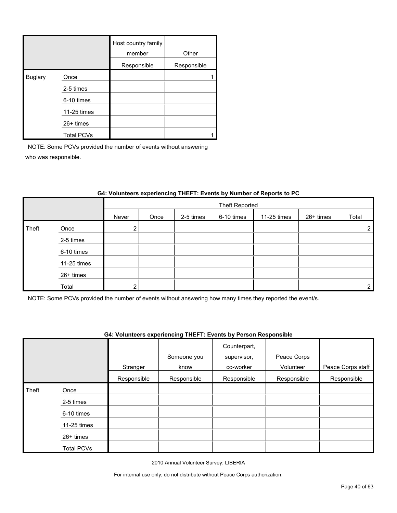|                |                   | Host country family<br>member | Other       |
|----------------|-------------------|-------------------------------|-------------|
|                |                   | Responsible                   | Responsible |
| <b>Buglary</b> | Once              |                               |             |
|                | 2-5 times         |                               |             |
|                | 6-10 times        |                               |             |
|                | 11-25 times       |                               |             |
|                | 26+ times         |                               |             |
|                | <b>Total PCVs</b> |                               |             |

NOTE: Some PCVs provided the number of events without answering who was responsible.

|       |             |       | <b>Theft Reported</b> |           |            |             |           |                |  |
|-------|-------------|-------|-----------------------|-----------|------------|-------------|-----------|----------------|--|
|       |             | Never | Once                  | 2-5 times | 6-10 times | 11-25 times | 26+ times | Total          |  |
| Theft | Once        | ◠     |                       |           |            |             |           | $\overline{2}$ |  |
|       | 2-5 times   |       |                       |           |            |             |           |                |  |
|       | 6-10 times  |       |                       |           |            |             |           |                |  |
|       | 11-25 times |       |                       |           |            |             |           |                |  |
|       | 26+ times   |       |                       |           |            |             |           |                |  |
|       | Total       | ົ     |                       |           |            |             |           | $\overline{2}$ |  |

# **G4: Volunteers experiencing THEFT: Events by Number of Reports to PC**

NOTE: Some PCVs provided the number of events without answering how many times they reported the event/s.

### **G4: Volunteers experiencing THEFT: Events by Person Responsible**

|       |                   |             | Someone you | Counterpart,<br>supervisor, | Peace Corps |                   |
|-------|-------------------|-------------|-------------|-----------------------------|-------------|-------------------|
|       |                   | Stranger    | know        | co-worker                   | Volunteer   | Peace Corps staff |
|       |                   | Responsible | Responsible | Responsible                 | Responsible | Responsible       |
| Theft | Once              |             |             |                             |             |                   |
|       | 2-5 times         |             |             |                             |             |                   |
|       | 6-10 times        |             |             |                             |             |                   |
|       | 11-25 times       |             |             |                             |             |                   |
|       | $26+$ times       |             |             |                             |             |                   |
|       | <b>Total PCVs</b> |             |             |                             |             |                   |

2010 Annual Volunteer Survey: LIBERIA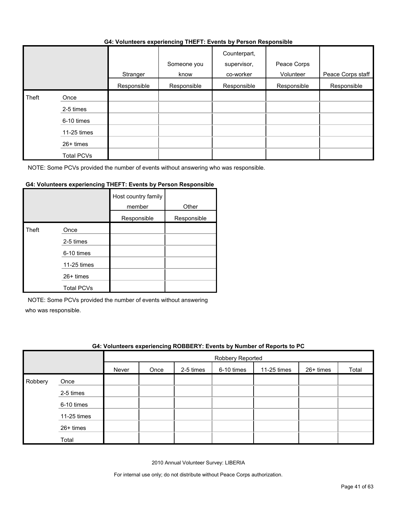#### **G4: Volunteers experiencing THEFT: Events by Person Responsible**

|       |                   | .           |                     | .                                        |                          |                   |
|-------|-------------------|-------------|---------------------|------------------------------------------|--------------------------|-------------------|
|       |                   | Stranger    | Someone you<br>know | Counterpart,<br>supervisor,<br>co-worker | Peace Corps<br>Volunteer | Peace Corps staff |
|       |                   | Responsible | Responsible         | Responsible                              | Responsible              | Responsible       |
| Theft | Once              |             |                     |                                          |                          |                   |
|       | 2-5 times         |             |                     |                                          |                          |                   |
|       | 6-10 times        |             |                     |                                          |                          |                   |
|       | 11-25 times       |             |                     |                                          |                          |                   |
|       | 26+ times         |             |                     |                                          |                          |                   |
|       | <b>Total PCVs</b> |             |                     |                                          |                          |                   |

NOTE: Some PCVs provided the number of events without answering who was responsible.

# **G4: Volunteers experiencing THEFT: Events by Person Responsible**

|       |                   | Host country family<br>member | Other       |
|-------|-------------------|-------------------------------|-------------|
|       |                   | Responsible                   | Responsible |
| Theft | Once              |                               |             |
|       | 2-5 times         |                               |             |
|       | 6-10 times        |                               |             |
|       | 11-25 times       |                               |             |
|       | 26+ times         |                               |             |
|       | <b>Total PCVs</b> |                               |             |

NOTE: Some PCVs provided the number of events without answering

who was responsible.

|         | G4: Volunteers experiencing ROBBERY: Events by Number of Reports to PC |       |      |           |                  |             |           |       |
|---------|------------------------------------------------------------------------|-------|------|-----------|------------------|-------------|-----------|-------|
|         |                                                                        |       |      |           | Robbery Reported |             |           |       |
|         |                                                                        | Never | Once | 2-5 times | 6-10 times       | 11-25 times | 26+ times | Total |
| Robbery | Once                                                                   |       |      |           |                  |             |           |       |
|         | 2-5 times                                                              |       |      |           |                  |             |           |       |
|         | 6-10 times                                                             |       |      |           |                  |             |           |       |
|         | 11-25 times                                                            |       |      |           |                  |             |           |       |
|         | 26+ times                                                              |       |      |           |                  |             |           |       |
|         | Total                                                                  |       |      |           |                  |             |           |       |

2010 Annual Volunteer Survey: LIBERIA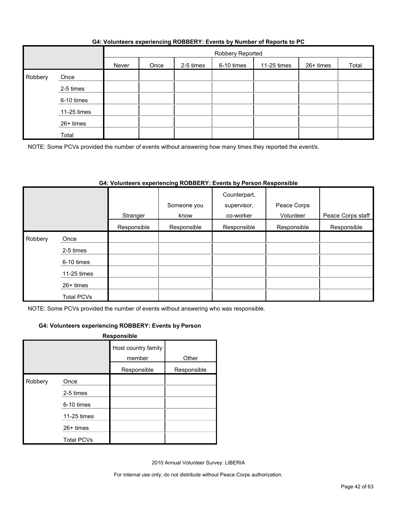|         |             |       | Robbery Reported |           |            |             |           |       |
|---------|-------------|-------|------------------|-----------|------------|-------------|-----------|-------|
|         |             | Never | Once             | 2-5 times | 6-10 times | 11-25 times | 26+ times | Total |
| Robbery | Once        |       |                  |           |            |             |           |       |
|         | 2-5 times   |       |                  |           |            |             |           |       |
|         | 6-10 times  |       |                  |           |            |             |           |       |
|         | 11-25 times |       |                  |           |            |             |           |       |
|         | 26+ times   |       |                  |           |            |             |           |       |
|         | Total       |       |                  |           |            |             |           |       |

NOTE: Some PCVs provided the number of events without answering how many times they reported the event/s.

# **G4: Volunteers experiencing ROBBERY: Events by Person Responsible**

|         |                   | Stranger    | Someone you<br>know | Counterpart,<br>supervisor,<br>co-worker | Peace Corps<br>Volunteer | Peace Corps staff |
|---------|-------------------|-------------|---------------------|------------------------------------------|--------------------------|-------------------|
|         |                   | Responsible | Responsible         | Responsible                              | Responsible              | Responsible       |
| Robbery | Once              |             |                     |                                          |                          |                   |
|         | 2-5 times         |             |                     |                                          |                          |                   |
|         | 6-10 times        |             |                     |                                          |                          |                   |
|         | 11-25 times       |             |                     |                                          |                          |                   |
|         | $26+$ times       |             |                     |                                          |                          |                   |
|         | <b>Total PCVs</b> |             |                     |                                          |                          |                   |

NOTE: Some PCVs provided the number of events without answering who was responsible.

#### **G4: Volunteers experiencing ROBBERY: Events by Person**

|         |                   | Responsible                   |             |
|---------|-------------------|-------------------------------|-------------|
|         |                   | Host country family<br>member | Other       |
|         |                   | Responsible                   | Responsible |
| Robbery | Once              |                               |             |
|         | 2-5 times         |                               |             |
|         | 6-10 times        |                               |             |
|         | 11-25 times       |                               |             |
|         | 26+ times         |                               |             |
|         | <b>Total PCVs</b> |                               |             |

2010 Annual Volunteer Survey: LIBERIA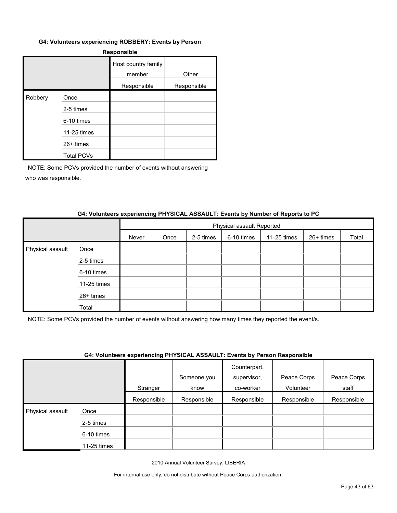#### **G4: Volunteers experiencing ROBBERY: Events by Person**

| <b>Responsible</b> |                   |                               |             |  |  |  |  |
|--------------------|-------------------|-------------------------------|-------------|--|--|--|--|
|                    |                   | Host country family<br>member | Other       |  |  |  |  |
|                    |                   | Responsible                   | Responsible |  |  |  |  |
| Robbery            | Once              |                               |             |  |  |  |  |
|                    | 2-5 times         |                               |             |  |  |  |  |
|                    | 6-10 times        |                               |             |  |  |  |  |
|                    | 11-25 times       |                               |             |  |  |  |  |
|                    | 26+ times         |                               |             |  |  |  |  |
|                    | <b>Total PCVs</b> |                               |             |  |  |  |  |

NOTE: Some PCVs provided the number of events without answering who was responsible.

#### **G4: Volunteers experiencing PHYSICAL ASSAULT: Events by Number of Reports to PC**

|                  |             |       | Physical assault Reported |           |            |             |           |       |  |
|------------------|-------------|-------|---------------------------|-----------|------------|-------------|-----------|-------|--|
|                  |             | Never | Once                      | 2-5 times | 6-10 times | 11-25 times | 26+ times | Total |  |
| Physical assault | Once        |       |                           |           |            |             |           |       |  |
|                  | 2-5 times   |       |                           |           |            |             |           |       |  |
|                  | 6-10 times  |       |                           |           |            |             |           |       |  |
|                  | 11-25 times |       |                           |           |            |             |           |       |  |
|                  | 26+ times   |       |                           |           |            |             |           |       |  |
|                  | Total       |       |                           |           |            |             |           |       |  |

NOTE: Some PCVs provided the number of events without answering how many times they reported the event/s.

#### **G4: Volunteers experiencing PHYSICAL ASSAULT: Events by Person Responsible**

|                  |             | $\overline{\phantom{a}}$ |             | .<br>Counterpart, |             |             |
|------------------|-------------|--------------------------|-------------|-------------------|-------------|-------------|
|                  |             |                          | Someone you | supervisor,       | Peace Corps | Peace Corps |
|                  |             | Stranger                 | know        | co-worker         | Volunteer   | staff       |
|                  |             | Responsible              | Responsible | Responsible       | Responsible | Responsible |
| Physical assault | Once        |                          |             |                   |             |             |
|                  | 2-5 times   |                          |             |                   |             |             |
|                  | 6-10 times  |                          |             |                   |             |             |
|                  | 11-25 times |                          |             |                   |             |             |

2010 Annual Volunteer Survey: LIBERIA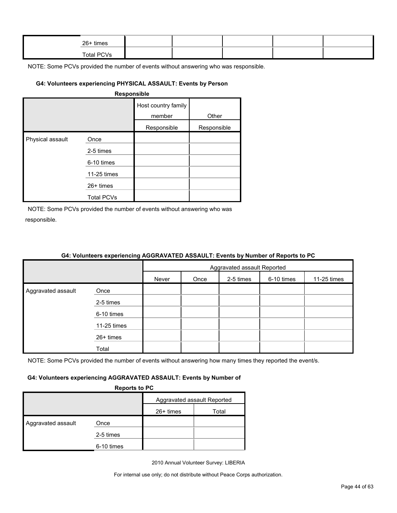| 26+ times         |  |  |  |
|-------------------|--|--|--|
| <b>Total PCVs</b> |  |  |  |

NOTE: Some PCVs provided the number of events without answering who was responsible.

### **G4: Volunteers experiencing PHYSICAL ASSAULT: Events by Person**

|                  |                   | Host country family<br>member | Other       |
|------------------|-------------------|-------------------------------|-------------|
|                  |                   | Responsible                   | Responsible |
| Physical assault | Once              |                               |             |
|                  | 2-5 times         |                               |             |
|                  | 6-10 times        |                               |             |
|                  | 11-25 times       |                               |             |
|                  | $26+$ times       |                               |             |
|                  | <b>Total PCVs</b> |                               |             |

NOTE: Some PCVs provided the number of events without answering who was responsible.

|                    | <u>on relatively experiencing result in the restriction of number of hepene to re</u> |       |                             |           |            |             |  |
|--------------------|---------------------------------------------------------------------------------------|-------|-----------------------------|-----------|------------|-------------|--|
|                    |                                                                                       |       | Aggravated assault Reported |           |            |             |  |
|                    |                                                                                       | Never | Once                        | 2-5 times | 6-10 times | 11-25 times |  |
| Aggravated assault | Once                                                                                  |       |                             |           |            |             |  |
|                    | 2-5 times                                                                             |       |                             |           |            |             |  |
|                    | 6-10 times                                                                            |       |                             |           |            |             |  |
|                    | 11-25 times                                                                           |       |                             |           |            |             |  |
|                    | 26+ times                                                                             |       |                             |           |            |             |  |
|                    | Total                                                                                 |       |                             |           |            |             |  |

# **G4: Volunteers experiencing AGGRAVATED ASSAULT: Events by Number of Reports to PC**

NOTE: Some PCVs provided the number of events without answering how many times they reported the event/s.

#### **G4: Volunteers experiencing AGGRAVATED ASSAULT: Events by Number of**

**Reports to PC**

|                    |            | Aggravated assault Reported |       |  |
|--------------------|------------|-----------------------------|-------|--|
|                    |            | $26+$ times                 | Total |  |
| Aggravated assault | Once       |                             |       |  |
|                    | 2-5 times  |                             |       |  |
|                    | 6-10 times |                             |       |  |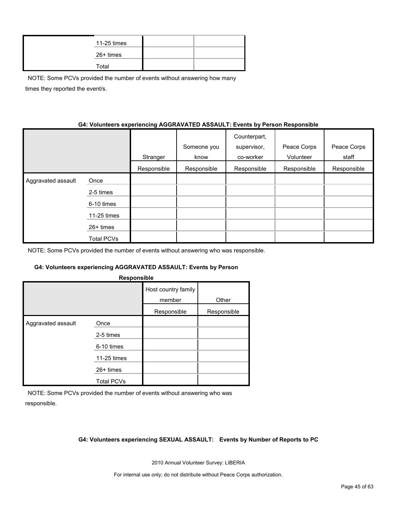| 11-25 times |  |
|-------------|--|
| 26+ times   |  |
| Total       |  |

NOTE: Some PCVs provided the number of events without answering how many times they reported the event/s.

### **G4: Volunteers experiencing AGGRAVATED ASSAULT: Events by Person Responsible**

|                    |             | Stranger    | Someone you<br>know | Counterpart,<br>supervisor,<br>co-worker | Peace Corps<br>Volunteer | Peace Corps<br>staff |
|--------------------|-------------|-------------|---------------------|------------------------------------------|--------------------------|----------------------|
|                    |             | Responsible | Responsible         | Responsible                              | Responsible              | Responsible          |
| Aggravated assault | Once        |             |                     |                                          |                          |                      |
|                    | 2-5 times   |             |                     |                                          |                          |                      |
|                    | 6-10 times  |             |                     |                                          |                          |                      |
|                    | 11-25 times |             |                     |                                          |                          |                      |
|                    | $26+$ times |             |                     |                                          |                          |                      |
|                    | Total PCVs  |             |                     |                                          |                          |                      |

NOTE: Some PCVs provided the number of events without answering who was responsible.

#### **G4: Volunteers experiencing AGGRAVATED ASSAULT: Events by Person**

| Responsible        |                   |                               |             |  |  |  |  |  |
|--------------------|-------------------|-------------------------------|-------------|--|--|--|--|--|
|                    |                   | Host country family<br>member | Other       |  |  |  |  |  |
|                    |                   | Responsible                   | Responsible |  |  |  |  |  |
| Aggravated assault | Once              |                               |             |  |  |  |  |  |
|                    | 2-5 times         |                               |             |  |  |  |  |  |
|                    | 6-10 times        |                               |             |  |  |  |  |  |
|                    | 11-25 times       |                               |             |  |  |  |  |  |
|                    | 26+ times         |                               |             |  |  |  |  |  |
|                    | <b>Total PCVs</b> |                               |             |  |  |  |  |  |

NOTE: Some PCVs provided the number of events without answering who was responsible.

#### **G4: Volunteers experiencing SEXUAL ASSAULT: Events by Number of Reports to PC**

2010 Annual Volunteer Survey: LIBERIA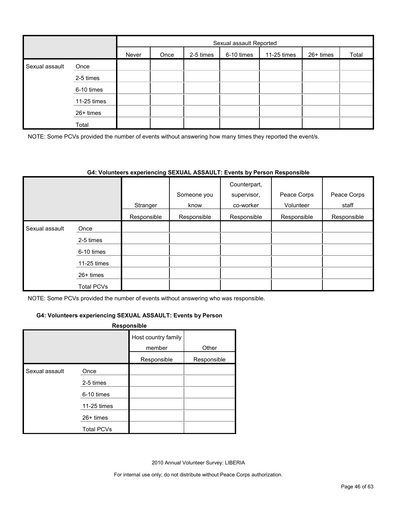|                |             |       | Sexual assault Reported |           |            |             |           |       |  |
|----------------|-------------|-------|-------------------------|-----------|------------|-------------|-----------|-------|--|
|                |             | Never | Once                    | 2-5 times | 6-10 times | 11-25 times | 26+ times | Total |  |
| Sexual assault | Once        |       |                         |           |            |             |           |       |  |
|                | 2-5 times   |       |                         |           |            |             |           |       |  |
|                | 6-10 times  |       |                         |           |            |             |           |       |  |
|                | 11-25 times |       |                         |           |            |             |           |       |  |
|                | 26+ times   |       |                         |           |            |             |           |       |  |
|                | Total       |       |                         |           |            |             |           |       |  |

NOTE: Some PCVs provided the number of events without answering how many times they reported the event/s.

#### **G4: Volunteers experiencing SEXUAL ASSAULT: Events by Person Responsible**

|                |                   |             |             | Counterpart, |             |             |
|----------------|-------------------|-------------|-------------|--------------|-------------|-------------|
|                |                   |             | Someone you | supervisor,  | Peace Corps | Peace Corps |
|                |                   | Stranger    | know        | co-worker    | Volunteer   | staff       |
|                |                   | Responsible | Responsible | Responsible  | Responsible | Responsible |
| Sexual assault | Once              |             |             |              |             |             |
|                | 2-5 times         |             |             |              |             |             |
|                | 6-10 times        |             |             |              |             |             |
|                | 11-25 times       |             |             |              |             |             |
|                | $26+$ times       |             |             |              |             |             |
|                | <b>Total PCVs</b> |             |             |              |             |             |

NOTE: Some PCVs provided the number of events without answering who was responsible.

#### **G4: Volunteers experiencing SEXUAL ASSAULT: Events by Person**

#### **Responsible**

|                |                   | Host country family<br>member | Other       |
|----------------|-------------------|-------------------------------|-------------|
|                |                   | Responsible                   | Responsible |
| Sexual assault | Once              |                               |             |
|                | 2-5 times         |                               |             |
|                | 6-10 times        |                               |             |
|                | 11-25 times       |                               |             |
|                | $26+$ times       |                               |             |
|                | <b>Total PCVs</b> |                               |             |

2010 Annual Volunteer Survey: LIBERIA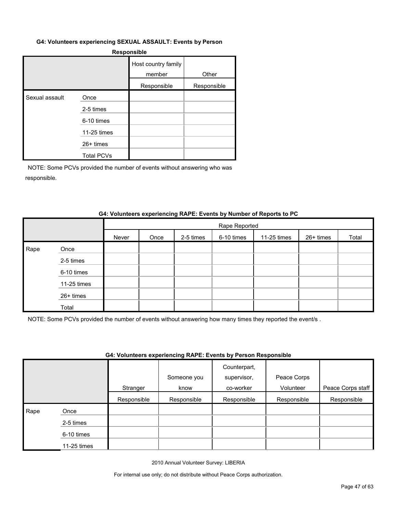#### **G4: Volunteers experiencing SEXUAL ASSAULT: Events by Person**

#### **Responsible**

|                |                   | Host country family<br>member | Other       |
|----------------|-------------------|-------------------------------|-------------|
|                |                   | Responsible                   | Responsible |
| Sexual assault | Once              |                               |             |
|                | 2-5 times         |                               |             |
|                | 6-10 times        |                               |             |
|                | 11-25 times       |                               |             |
|                | $26+$ times       |                               |             |
|                | <b>Total PCVs</b> |                               |             |

NOTE: Some PCVs provided the number of events without answering who was responsible.

#### **G4: Volunteers experiencing RAPE: Events by Number of Reports to PC**

|      |             |       | Rape Reported |           |            |             |           |       |
|------|-------------|-------|---------------|-----------|------------|-------------|-----------|-------|
|      |             | Never | Once          | 2-5 times | 6-10 times | 11-25 times | 26+ times | Total |
| Rape | Once        |       |               |           |            |             |           |       |
|      | 2-5 times   |       |               |           |            |             |           |       |
|      | 6-10 times  |       |               |           |            |             |           |       |
|      | 11-25 times |       |               |           |            |             |           |       |
|      | 26+ times   |       |               |           |            |             |           |       |
|      | Total       |       |               |           |            |             |           |       |

NOTE: Some PCVs provided the number of events without answering how many times they reported the event/s .

# **G4: Volunteers experiencing RAPE: Events by Person Responsible**

|      |             | Stranger    | Someone you<br>know | Counterpart,<br>supervisor,<br>co-worker | Peace Corps<br>Volunteer | Peace Corps staff |
|------|-------------|-------------|---------------------|------------------------------------------|--------------------------|-------------------|
|      |             | Responsible | Responsible         | Responsible                              | Responsible              | Responsible       |
| Rape | Once        |             |                     |                                          |                          |                   |
|      | 2-5 times   |             |                     |                                          |                          |                   |
|      | 6-10 times  |             |                     |                                          |                          |                   |
|      | 11-25 times |             |                     |                                          |                          |                   |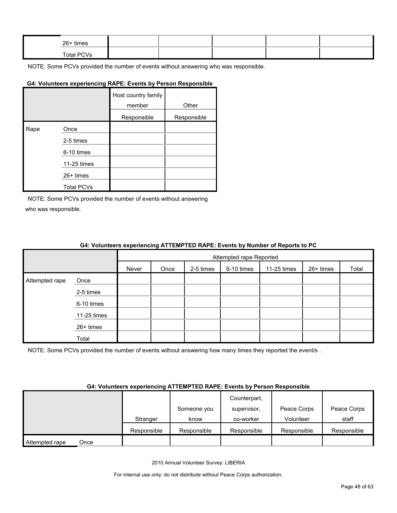| 26+ times  |  |  |  |
|------------|--|--|--|
| Total PCVs |  |  |  |

NOTE: Some PCVs provided the number of events without answering who was responsible.

#### **G4: Volunteers experiencing RAPE: Events by Person Responsible**

|      |                   | Host country family<br>member | Other       |
|------|-------------------|-------------------------------|-------------|
|      |                   | Responsible                   | Responsible |
| Rape | Once              |                               |             |
|      | 2-5 times         |                               |             |
|      | 6-10 times        |                               |             |
|      | 11-25 times       |                               |             |
|      | $26+$ times       |                               |             |
|      | <b>Total PCVs</b> |                               |             |

NOTE: Some PCVs provided the number of events without answering who was responsible.

#### **G4: Volunteers experiencing ATTEMPTED RAPE: Events by Number of Reports to PC**

|                |             |       | Attempted rape Reported |           |            |             |           |       |
|----------------|-------------|-------|-------------------------|-----------|------------|-------------|-----------|-------|
|                |             | Never | Once                    | 2-5 times | 6-10 times | 11-25 times | 26+ times | Total |
| Attempted rape | Once        |       |                         |           |            |             |           |       |
|                | 2-5 times   |       |                         |           |            |             |           |       |
|                | 6-10 times  |       |                         |           |            |             |           |       |
|                | 11-25 times |       |                         |           |            |             |           |       |
|                | 26+ times   |       |                         |           |            |             |           |       |
|                | Total       |       |                         |           |            |             |           |       |

NOTE: Some PCVs provided the number of events without answering how many times they reported the event/s.

#### **G4: Volunteers experiencing ATTEMPTED RAPE: Events by Person Responsible**

|                        |             |             | Counterpart, |             |             |
|------------------------|-------------|-------------|--------------|-------------|-------------|
|                        |             | Someone you | supervisor.  | Peace Corps | Peace Corps |
|                        | Stranger    | know        | co-worker    | Volunteer   | staff       |
|                        | Responsible | Responsible | Responsible  | Responsible | Responsible |
| Attempted rape<br>Once |             |             |              |             |             |

2010 Annual Volunteer Survey: LIBERIA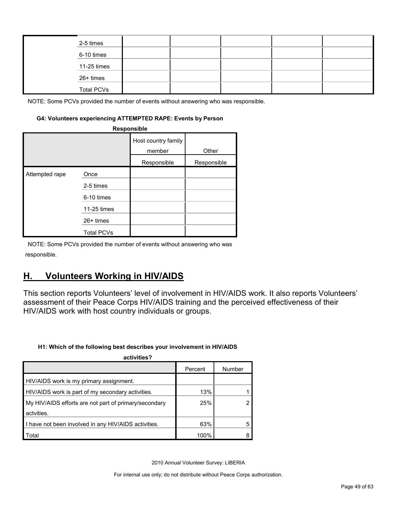|  | 2-5 times         |  |  |  |
|--|-------------------|--|--|--|
|  | 6-10 times        |  |  |  |
|  | 11-25 times       |  |  |  |
|  | 26+ times         |  |  |  |
|  | <b>Total PCVs</b> |  |  |  |

NOTE: Some PCVs provided the number of events without answering who was responsible.

#### **G4: Volunteers experiencing ATTEMPTED RAPE: Events by Person**

| Responsible    |                   |                               |             |  |  |  |  |  |
|----------------|-------------------|-------------------------------|-------------|--|--|--|--|--|
|                |                   | Host country family<br>member | Other       |  |  |  |  |  |
|                |                   | Responsible                   | Responsible |  |  |  |  |  |
| Attempted rape | Once<br>2-5 times |                               |             |  |  |  |  |  |
|                | 6-10 times        |                               |             |  |  |  |  |  |
|                | 11-25 times       |                               |             |  |  |  |  |  |
|                | $26+$ times       |                               |             |  |  |  |  |  |
|                | <b>Total PCVs</b> |                               |             |  |  |  |  |  |

NOTE: Some PCVs provided the number of events without answering who was responsible.

# <span id="page-48-0"></span>**H. Volunteers Working in HIV/AIDS**

This section reports Volunteers' level of involvement in HIV/AIDS work. It also reports Volunteers' assessment of their Peace Corps HIV/AIDS training and the perceived effectiveness of their HIV/AIDS work with host country individuals or groups.

#### **H1: Which of the following best describes your involvement in HIV/AIDS**

| activities?                                           |         |        |
|-------------------------------------------------------|---------|--------|
|                                                       | Percent | Number |
| HIV/AIDS work is my primary assignment.               |         |        |
| HIV/AIDS work is part of my secondary activities.     | 13%     |        |
| My HIV/AIDS efforts are not part of primary/secondary | 25%     |        |
| actvities.                                            |         |        |
| I have not been involved in any HIV/AIDS activities.  | 63%     |        |
| Total                                                 | 100%    |        |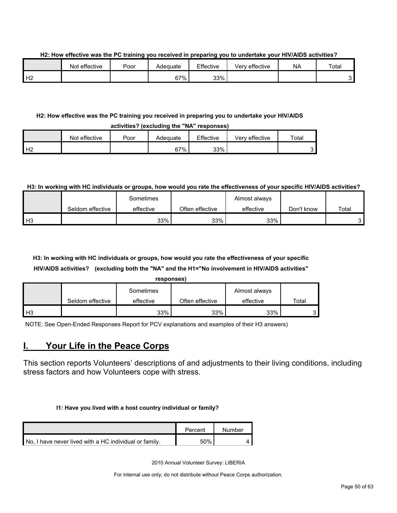**H2: How effective was the PC training you received in preparing you to undertake your HIV/AIDS activities?**

|                | Not effective | Poor | Adequate | Effective | Very effective | <b>NA</b> | Total |
|----------------|---------------|------|----------|-----------|----------------|-----------|-------|
| H <sub>2</sub> |               |      | 67%      | 33%       |                |           | ີ     |

# **H2: How effective was the PC training you received in preparing you to undertake your HIV/AIDS**

| activities? (excluding the "NA" responses) |               |      |          |           |                |       |  |  |  |
|--------------------------------------------|---------------|------|----------|-----------|----------------|-------|--|--|--|
|                                            | Not effective | Poor | Adequate | Effective | Verv effective | Total |  |  |  |
| H <sub>2</sub>                             |               |      | 67%      | 33%       |                | ົ     |  |  |  |

# **H3: In working with HC individuals or groups, how would you rate the effectiveness of your specific HIV/AIDS activities?**

|                |                  | Sometimes |                 | Almost always |            |       |
|----------------|------------------|-----------|-----------------|---------------|------------|-------|
|                | Seldom effective | effective | Often effective | effective     | Don't know | Total |
| H <sub>3</sub> |                  | 33%       | 33%             | 33%           |            |       |

# **H3: In working with HC individuals or groups, how would you rate the effectiveness of your specific HIV/AIDS activities? (excluding both the "NA" and the H1="No involvement in HIV/AIDS activities"**

|--|

|      |                  | Sometimes |                 | Almost always |       |
|------|------------------|-----------|-----------------|---------------|-------|
|      | Seldom effective | effective | Often effective | effective     | Total |
| l H3 |                  | 33%       | 33%             | 33%           |       |

NOTE: See Open-Ended Responses Report for PCV explanations and examples of their H3 answers)

# <span id="page-49-0"></span>**I. Your Life in the Peace Corps**

This section reports Volunteers' descriptions of and adjustments to their living conditions, including stress factors and how Volunteers cope with stress.

# **I1: Have you lived with a host country individual or family?**

|                                                        | Percent | Number |
|--------------------------------------------------------|---------|--------|
| No. I have never lived with a HC individual or family. | 50%     |        |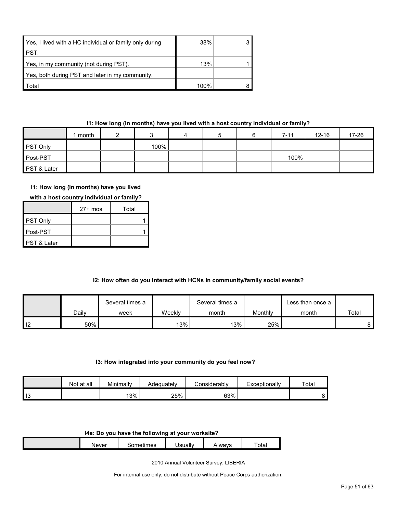| Yes, I lived with a HC individual or family only during | 38%  |  |
|---------------------------------------------------------|------|--|
| I PST.                                                  |      |  |
| Yes, in my community (not during PST).                  | 13%  |  |
| Yes, both during PST and later in my community.         |      |  |
| Total                                                   | 100% |  |

# **I1: How long (in months) have you lived with a host country individual or family?**

|             | month |      | 4 |  | $7 - 11$ | $12 - 16$ | 17-26 |
|-------------|-------|------|---|--|----------|-----------|-------|
| PST Only    |       | 100% |   |  |          |           |       |
| Post-PST    |       |      |   |  | 100%     |           |       |
| PST & Later |       |      |   |  |          |           |       |

# **I1: How long (in months) have you lived**

|  | with a host country individual or family? |
|--|-------------------------------------------|
|--|-------------------------------------------|

|                        | $27+$ mos | Total |
|------------------------|-----------|-------|
| <b>PST Only</b>        |           |       |
| Post-PST               |           |       |
| <b>PST &amp; Later</b> |           |       |

# **I2: How often do you interact with HCNs in community/family social events?**

|                |       | Several times a |        | Several times a |         | Less than once a |       |
|----------------|-------|-----------------|--------|-----------------|---------|------------------|-------|
|                | Daily | week            | Weekly | month           | Monthly | month            | Total |
| $\blacksquare$ | 50%   |                 | $13\%$ | 13%             | 25%     |                  | 81    |

#### **I3: How integrated into your community do you feel now?**

|    | Not at all | Minimally | Adequately | onsiderabl∨ٽ | Exceptionally | Total |
|----|------------|-----------|------------|--------------|---------------|-------|
| 13 |            | 13%       | 25%        | 63%          |               |       |

#### **I4a: Do you have the following at your worksite?**

| <b>Never</b> | - ---<br>mes<br>⊶பட | Jsuall∗ | \lwavs<br>71 V V | $\overline{\phantom{0}}$<br>otal |
|--------------|---------------------|---------|------------------|----------------------------------|
|              |                     |         |                  |                                  |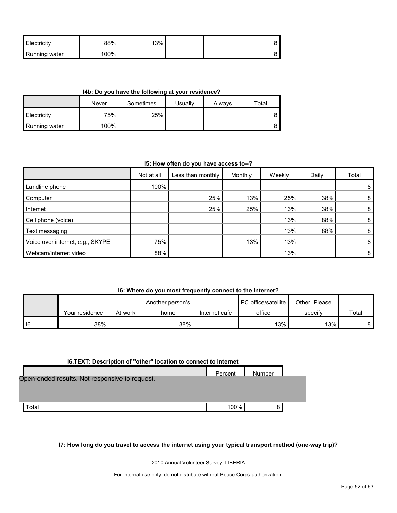| <b>Electricity</b>   | 88% | 13% |  |  |
|----------------------|-----|-----|--|--|
| <b>Running water</b> | 00% |     |  |  |

#### **I4b: Do you have the following at your residence?**

|                      | Never | Sometimes | <b>Usually</b> | Always | $\tau$ otal |
|----------------------|-------|-----------|----------------|--------|-------------|
| <b>Electricity</b>   | 75%   | 25%       |                |        |             |
| <b>Running water</b> | 100%  |           |                |        |             |

#### **I5: How often do you have access to--?**

|                                  | Not at all | Less than monthly | Monthly | Weekly | Daily | Total          |
|----------------------------------|------------|-------------------|---------|--------|-------|----------------|
| Landline phone                   | 100%       |                   |         |        |       | 8 <sup>1</sup> |
| Computer                         |            | 25%               | 13%     | 25%    | 38%   | 8 <sup>1</sup> |
| Internet                         |            | 25%               | 25%     | 13%    | 38%   | 8 <sup>1</sup> |
| Cell phone (voice)               |            |                   |         | 13%    | 88%   | 8              |
| Text messaging                   |            |                   |         | 13%    | 88%   | 8 <sup>1</sup> |
| Voice over internet, e.g., SKYPE | 75%        |                   | 13%     | 13%    |       | 8              |
| Webcam/internet video            | 88%        |                   |         | 13%    |       | 8 <sup>1</sup> |

#### **I6: Where do you most frequently connect to the Internet?**

|   |                |         | Another person's |               | <b>PC</b> office/satellite | Other: Please |       |
|---|----------------|---------|------------------|---------------|----------------------------|---------------|-------|
|   | Your residence | At work | home             | Internet cafe | office                     | specify       | Total |
| 6 | 38%            |         | 38%              |               | 13%                        | 13%           | 8.    |

#### **I6.TEXT: Description of "other" location to connect to Internet**

|                                                | Percent | <b>Number</b> |  |
|------------------------------------------------|---------|---------------|--|
| Open-ended results. Not responsive to request. |         |               |  |
|                                                |         |               |  |
| ⊺otal                                          | 100%    | 8             |  |

**I7: How long do you travel to access the internet using your typical transport method (one-way trip)?**

2010 Annual Volunteer Survey: LIBERIA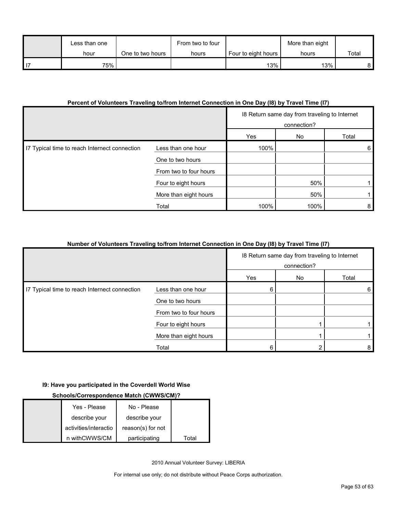| Less than one |                  | From two to four |                     | More than eight |       |
|---------------|------------------|------------------|---------------------|-----------------|-------|
| hour          | One to two hours | hours            | Four to eight hours | hours           | Total |
| 75%           |                  |                  | 13%                 | $13\%$          |       |

# **Percent of Volunteers Traveling to/from Internet Connection in One Day (I8) by Travel Time (I7)**

|                                               |                        | 18 Return same day from traveling to Internet<br>connection? |      |       |
|-----------------------------------------------|------------------------|--------------------------------------------------------------|------|-------|
|                                               |                        | Yes                                                          | No   | Total |
| 17 Typical time to reach Internect connection | Less than one hour     | 100%                                                         |      | 6     |
|                                               | One to two hours       |                                                              |      |       |
|                                               | From two to four hours |                                                              |      |       |
|                                               | Four to eight hours    |                                                              | 50%  |       |
|                                               | More than eight hours  |                                                              | 50%  |       |
|                                               | Total                  | 100%                                                         | 100% | 8     |

# **Number of Volunteers Traveling to/from Internet Connection in One Day (I8) by Travel Time (I7)**

|                                               |                        | 18 Return same day from traveling to Internet<br>connection? |    |       |
|-----------------------------------------------|------------------------|--------------------------------------------------------------|----|-------|
|                                               |                        | Yes                                                          | No | Total |
| I7 Typical time to reach Internect connection | Less than one hour     | 6                                                            |    | 6     |
|                                               | One to two hours       |                                                              |    |       |
|                                               | From two to four hours |                                                              |    |       |
|                                               | Four to eight hours    |                                                              |    |       |
|                                               | More than eight hours  |                                                              |    |       |
|                                               | Total                  | 6                                                            |    | 8     |

# **I9: Have you participated in the Coverdell World Wise**

# **Schools/Correspondence Match (CWWS/CM)?**

| Yes - Please          | No - Please       |       |
|-----------------------|-------------------|-------|
| describe your         | describe your     |       |
| activities/interactio | reason(s) for not |       |
| n withCWWS/CM         | participating     | Total |

2010 Annual Volunteer Survey: LIBERIA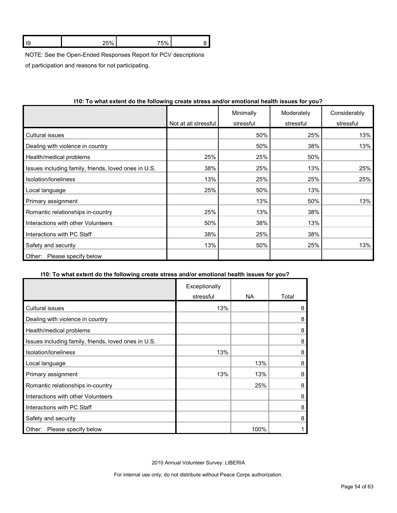| . |  |
|---|--|
|   |  |

NOTE: See the Open-Ended Responses Report for PCV descriptions

of participation and reasons for not participating.

|                                                      | Not at all stressful | Minimally<br>stressful | Moderately<br>stressful | Considerably<br>stressful |
|------------------------------------------------------|----------------------|------------------------|-------------------------|---------------------------|
|                                                      |                      |                        |                         |                           |
| Cultural issues                                      |                      | 50%                    | 25%                     | 13%                       |
| Dealing with violence in country                     |                      | 50%                    | 38%                     | 13%                       |
| Health/medical problems                              | 25%                  | 25%                    | 50%                     |                           |
| Issues including family, friends, loved ones in U.S. | 38%                  | 25%                    | 13%                     | 25%                       |
| Isolation/Ioneliness                                 | 13%                  | 25%                    | 25%                     | 25%                       |
| Local language                                       | 25%                  | 50%                    | 13%                     |                           |
| Primary assignment                                   |                      | 13%                    | 50%                     | 13%                       |
| Romantic relationships in-country                    | 25%                  | 13%                    | 38%                     |                           |
| Interactions with other Volunteers                   | 50%                  | 38%                    | 13%                     |                           |
| Interactions with PC Staff                           | 38%                  | 25%                    | 38%                     |                           |
| Safety and security                                  | 13%                  | 50%                    | 25%                     | 13%                       |
| Please specify below<br>Other:                       |                      |                        |                         |                           |

# **I10: To what extent do the following create stress and/or emotional health issues for you?**

# **I10: To what extent do the following create stress and/or emotional health issues for you?**

|                                                      | Exceptionally |      |       |
|------------------------------------------------------|---------------|------|-------|
|                                                      | stressful     | NA.  | Total |
| Cultural issues                                      | 13%           |      | 8     |
| Dealing with violence in country                     |               |      | 8     |
| Health/medical problems                              |               |      | 8     |
| Issues including family, friends, loved ones in U.S. |               |      | 8     |
| Isolation/loneliness                                 | 13%           |      | 8     |
| Local language                                       |               | 13%  | 8     |
| Primary assignment                                   | 13%           | 13%  | 8     |
| Romantic relationships in-country                    |               | 25%  | 8     |
| Interactions with other Volunteers                   |               |      | 8     |
| Interactions with PC Staff                           |               |      | 8     |
| Safety and security                                  |               |      | 8     |
| Please specify below<br>Other:                       |               | 100% |       |

2010 Annual Volunteer Survey: LIBERIA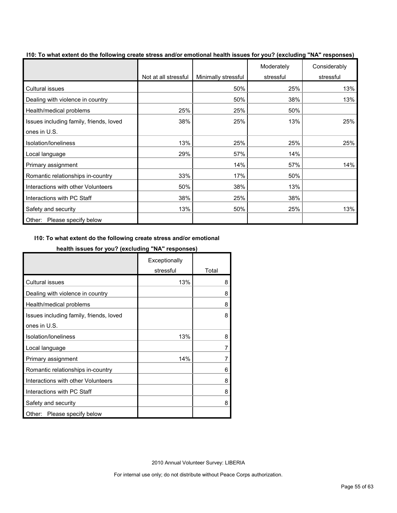| of the miliar externt as the following create choose alleger emotional health locates for your (exclusion) that responses | Not at all stressful | Minimally stressful | Moderately<br>stressful | Considerably<br>stressful |
|---------------------------------------------------------------------------------------------------------------------------|----------------------|---------------------|-------------------------|---------------------------|
| <b>Cultural issues</b>                                                                                                    |                      | 50%                 | 25%                     | 13%                       |
| Dealing with violence in country                                                                                          |                      | 50%                 | 38%                     | 13%                       |
| Health/medical problems                                                                                                   | 25%                  | 25%                 | 50%                     |                           |
| Issues including family, friends, loved                                                                                   | 38%                  | 25%                 | 13%                     | 25%                       |
| ones in U.S.                                                                                                              |                      |                     |                         |                           |
| Isolation/loneliness                                                                                                      | 13%                  | 25%                 | 25%                     | 25%                       |
| Local language                                                                                                            | 29%                  | 57%                 | 14%                     |                           |
| Primary assignment                                                                                                        |                      | 14%                 | 57%                     | 14%                       |
| Romantic relationships in-country                                                                                         | 33%                  | 17%                 | 50%                     |                           |
| Interactions with other Volunteers                                                                                        | 50%                  | 38%                 | 13%                     |                           |
| Interactions with PC Staff                                                                                                | 38%                  | 25%                 | 38%                     |                           |
| Safety and security                                                                                                       | 13%                  | 50%                 | 25%                     | 13%                       |
| Other: Please specify below                                                                                               |                      |                     |                         |                           |

**I10: To what extent do the following create stress and/or emotional health issues for you? (excluding "NA" responses)**

# **I10: To what extent do the following create stress and/or emotional**

# **health issues for you? (excluding "NA" responses)**

|                                         | Exceptionally |       |
|-----------------------------------------|---------------|-------|
|                                         | stressful     | Total |
| <b>Cultural issues</b>                  | 13%           | 8     |
| Dealing with violence in country        |               | 8     |
| Health/medical problems                 |               | 8     |
| Issues including family, friends, loved |               | 8     |
| ones in U.S.                            |               |       |
| Isolation/loneliness                    | 13%           | 8     |
| Local language                          |               |       |
| Primary assignment                      | 14%           |       |
| Romantic relationships in-country       |               | 6     |
| Interactions with other Volunteers      |               | 8     |
| Interactions with PC Staff              |               | 8     |
| Safety and security                     |               | 8     |
| Please specify below<br>Other:          |               |       |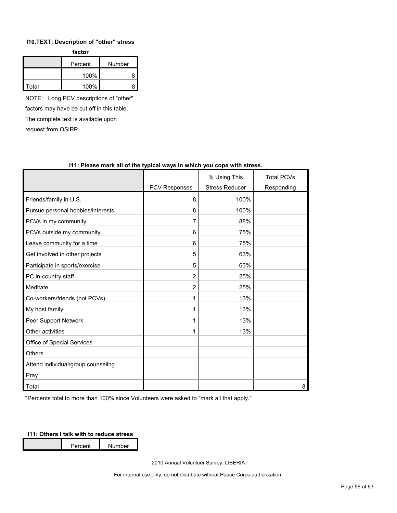#### **I10.TEXT: Description of "other" stress**

| factor |                   |   |  |  |  |
|--------|-------------------|---|--|--|--|
|        | Number<br>Percent |   |  |  |  |
|        | 100%              | R |  |  |  |
| Total  | 100%              |   |  |  |  |

NOTE: Long PCV descriptions of "other" factors may have be cut off in this table. The complete text is available upon request from OSIRP.

|                                    |                      | % Using This          | <b>Total PCVs</b> |
|------------------------------------|----------------------|-----------------------|-------------------|
|                                    | <b>PCV Responses</b> | <b>Stress Reducer</b> | Responding        |
| Friends/family in U.S.             | 8                    | 100%                  |                   |
| Pursue personal hobbies/interests  | 8                    | 100%                  |                   |
| PCVs in my community               | 7                    | 88%                   |                   |
| PCVs outside my community          | 6                    | 75%                   |                   |
| Leave community for a time         | 6                    | 75%                   |                   |
| Get involved in other projects     | 5                    | 63%                   |                   |
| Participate in sports/exercise     | 5                    | 63%                   |                   |
| PC in-country staff                | 2                    | 25%                   |                   |
| Meditate                           | $\overline{2}$       | 25%                   |                   |
| Co-workers/friends (not PCVs)      | 1                    | 13%                   |                   |
| My host family                     |                      | 13%                   |                   |
| Peer Support Network               |                      | 13%                   |                   |
| Other activities                   |                      | 13%                   |                   |
| Office of Special Services         |                      |                       |                   |
| <b>Others</b>                      |                      |                       |                   |
| Attend individual/group counseling |                      |                       |                   |
| Pray                               |                      |                       |                   |
| Total                              |                      |                       | 8                 |

# **I11: Please mark all of the typical ways in which you cope with stress.**

\*Percents total to more than 100% since Volunteers were asked to "mark all that apply."

# **I11: Others I talk with to reduce stress**

Percent Number

2010 Annual Volunteer Survey: LIBERIA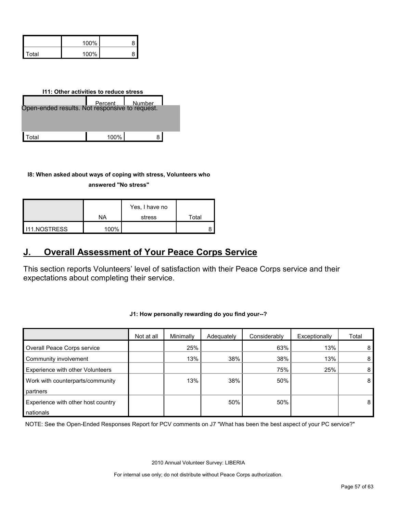|         | $100\%$ |  |
|---------|---------|--|
| l Total | 100%    |  |

| 111: Other activities to reduce stress        |      |   |  |  |  |  |
|-----------------------------------------------|------|---|--|--|--|--|
| Den-ended results. Not responsive to request. |      |   |  |  |  |  |
|                                               |      |   |  |  |  |  |
|                                               |      |   |  |  |  |  |
| otal                                          | 100% | Զ |  |  |  |  |

**I8: When asked about ways of coping with stress, Volunteers who** 

**answered "No stress"** 

|                     | ΝA   | Yes, I have no<br>stress | Total |
|---------------------|------|--------------------------|-------|
| <b>I11.NOSTRESS</b> | 100% |                          |       |

# <span id="page-56-0"></span>**J. Overall Assessment of Your Peace Corps Service**

This section reports Volunteers' level of satisfaction with their Peace Corps service and their expectations about completing their service.

|                                    | Not at all | Minimally | Adequately | Considerably | Exceptionally | Total          |
|------------------------------------|------------|-----------|------------|--------------|---------------|----------------|
| Overall Peace Corps service        |            | 25%       |            | 63%          | 13%           | 8              |
| Community involvement              |            | 13%       | 38%        | 38%          | 13%           | 8 <sup>1</sup> |
| Experience with other Volunteers   |            |           |            | 75%          | 25%           | 8 <sup>1</sup> |
| Work with counterparts/community   |            | 13%       | 38%        | 50%          |               | 8 <sup>1</sup> |
| partners                           |            |           |            |              |               |                |
| Experience with other host country |            |           | 50%        | 50%          |               | 8 <sup>1</sup> |
| nationals                          |            |           |            |              |               |                |

**J1: How personally rewarding do you find your--?** 

NOTE: See the Open-Ended Responses Report for PCV comments on J7 "What has been the best aspect of your PC service?"

2010 Annual Volunteer Survey: LIBERIA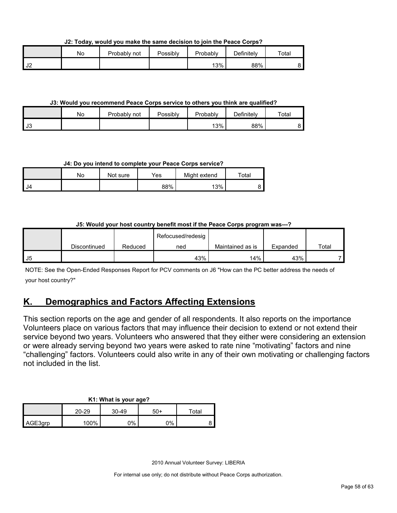**J2: Today, would you make the same decision to join the Peace Corps?**

|                | Νo | Probably<br>ำnot | Possibly | Probably | Definitely | Total |
|----------------|----|------------------|----------|----------|------------|-------|
| $\sim$<br>∠∪ י |    |                  |          | 13%      | 88%        |       |

### **J3: Would you recommend Peace Corps service to others you think are qualified?**

|                      | No | Probably not | Possibly | Probably | $\Delta$ efinitelv | $\tau$ otal |
|----------------------|----|--------------|----------|----------|--------------------|-------------|
| $\mathsf{L}$<br>- J3 |    |              |          | 13%      | 88%                |             |

# **J4: Do you intend to complete your Peace Corps service?**

|      | No | Not sure | Yes | Might extend | Total |
|------|----|----------|-----|--------------|-------|
| I J4 |    |          | 88% | 13%          |       |

# **J5: Would your host country benefit most if the Peace Corps program was---?**

|      |              |         | Refocused/redesig |                  |          |       |
|------|--------------|---------|-------------------|------------------|----------|-------|
|      | Discontinued | Reduced | ned               | Maintained as is | Expanded | Total |
| l J5 |              |         | 43%               | 14%              | 43%      |       |

NOTE: See the Open-Ended Responses Report for PCV comments on J6 "How can the PC better address the needs of your host country?"

# <span id="page-57-0"></span>**K. Demographics and Factors Affecting Extensions**

This section reports on the age and gender of all respondents. It also reports on the importance Volunteers place on various factors that may influence their decision to extend or not extend their service beyond two years. Volunteers who answered that they either were considering an extension or were already serving beyond two years were asked to rate nine "motivating" factors and nine "challenging" factors. Volunteers could also write in any of their own motivating or challenging factors not included in the list.

#### **K1: What is your age?**

|         | 20-29 | $30 - 49$ | -50 | $\tau$ otal |
|---------|-------|-----------|-----|-------------|
| AGE3grp | 100%  | 0%        | ገ%  |             |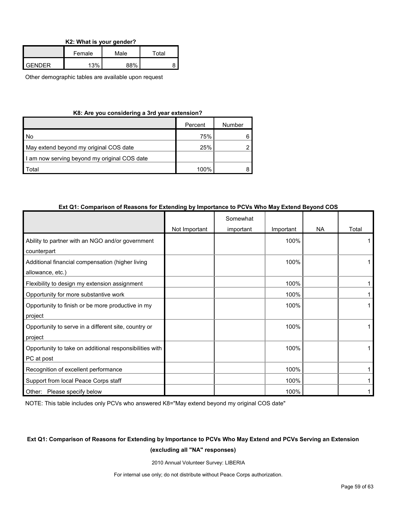| K2: What is your gender? |  |  |  |  |  |  |
|--------------------------|--|--|--|--|--|--|
|--------------------------|--|--|--|--|--|--|

|               | Female | Male | Total |  |
|---------------|--------|------|-------|--|
| <b>GENDER</b> | 13%    | 88%  |       |  |

Other demographic tables are available upon request

#### **K8: Are you considering a 3rd year extension?**

|                                              | Percent | Number |
|----------------------------------------------|---------|--------|
| No                                           | 75%     |        |
| May extend beyond my original COS date       | 25%     |        |
| I am now serving beyond my original COS date |         |        |
| Total                                        | 100%    |        |

#### **Ext Q1: Comparison of Reasons for Extending by Importance to PCVs Who May Extend Beyond COS**

|                                                         |               | Somewhat  |           |           |       |
|---------------------------------------------------------|---------------|-----------|-----------|-----------|-------|
|                                                         | Not Important | important | Important | <b>NA</b> | Total |
| Ability to partner with an NGO and/or government        |               |           | 100%      |           |       |
| counterpart                                             |               |           |           |           |       |
| Additional financial compensation (higher living        |               |           | 100%      |           |       |
| allowance, etc.)                                        |               |           |           |           |       |
| Flexibility to design my extension assignment           |               |           | 100%      |           |       |
| Opportunity for more substantive work                   |               |           | 100%      |           |       |
| Opportunity to finish or be more productive in my       |               |           | 100%      |           |       |
| project                                                 |               |           |           |           |       |
| Opportunity to serve in a different site, country or    |               |           | 100%      |           |       |
| project                                                 |               |           |           |           |       |
| Opportunity to take on additional responsibilities with |               |           | 100%      |           |       |
| PC at post                                              |               |           |           |           |       |
| Recognition of excellent performance                    |               |           | 100%      |           |       |
| Support from local Peace Corps staff                    |               |           | 100%      |           |       |
| Other: Please specify below                             |               |           | 100%      |           |       |

NOTE: This table includes only PCVs who answered K8="May extend beyond my original COS date"

# **Ext Q1: Comparison of Reasons for Extending by Importance to PCVs Who May Extend and PCVs Serving an Extension (excluding all "NA" responses)**

2010 Annual Volunteer Survey: LIBERIA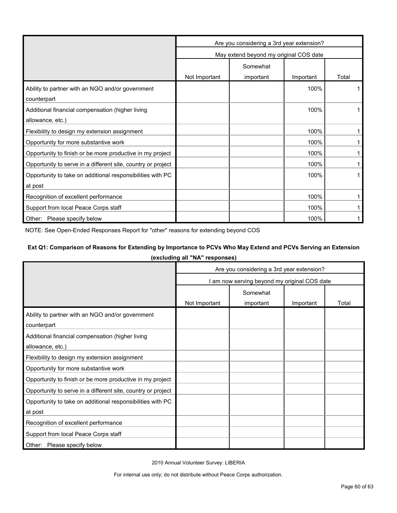|                                                              | Are you considering a 3rd year extension? |           |           |       |  |
|--------------------------------------------------------------|-------------------------------------------|-----------|-----------|-------|--|
|                                                              | May extend beyond my original COS date    |           |           |       |  |
|                                                              | Somewhat                                  |           |           |       |  |
|                                                              | Not Important                             | important | Important | Total |  |
| Ability to partner with an NGO and/or government             |                                           |           | 100%      |       |  |
| counterpart                                                  |                                           |           |           |       |  |
| Additional financial compensation (higher living             |                                           |           | 100%      |       |  |
| allowance, etc.)                                             |                                           |           |           |       |  |
| Flexibility to design my extension assignment                |                                           |           | 100%      |       |  |
| Opportunity for more substantive work                        |                                           |           | 100%      |       |  |
| Opportunity to finish or be more productive in my project    |                                           |           | 100%      |       |  |
| Opportunity to serve in a different site, country or project |                                           |           | 100%      |       |  |
| Opportunity to take on additional responsibilities with PC   |                                           |           | 100%      |       |  |
| at post                                                      |                                           |           |           |       |  |
| Recognition of excellent performance                         |                                           |           | 100%      |       |  |
| Support from local Peace Corps staff                         |                                           |           | 100%      |       |  |
| Other: Please specify below                                  |                                           |           | 100%      |       |  |

NOTE: See Open-Ended Responses Report for "other" reasons for extending beyond COS

# **Ext Q1: Comparison of Reasons for Extending by Importance to PCVs Who May Extend and PCVs Serving an Extension**

**(excluding all "NA" responses)**

|                                                              | Are you considering a 3rd year extension?    |           |           |       |  |
|--------------------------------------------------------------|----------------------------------------------|-----------|-----------|-------|--|
|                                                              | I am now serving beyond my original COS date |           |           |       |  |
|                                                              | Somewhat                                     |           |           |       |  |
|                                                              | Not Important                                | important | Important | Total |  |
| Ability to partner with an NGO and/or government             |                                              |           |           |       |  |
| counterpart                                                  |                                              |           |           |       |  |
| Additional financial compensation (higher living             |                                              |           |           |       |  |
| allowance, etc.)                                             |                                              |           |           |       |  |
| Flexibility to design my extension assignment                |                                              |           |           |       |  |
| Opportunity for more substantive work                        |                                              |           |           |       |  |
| Opportunity to finish or be more productive in my project    |                                              |           |           |       |  |
| Opportunity to serve in a different site, country or project |                                              |           |           |       |  |
| Opportunity to take on additional responsibilities with PC   |                                              |           |           |       |  |
| at post                                                      |                                              |           |           |       |  |
| Recognition of excellent performance                         |                                              |           |           |       |  |
| Support from local Peace Corps staff                         |                                              |           |           |       |  |
| Other: Please specify below                                  |                                              |           |           |       |  |

2010 Annual Volunteer Survey: LIBERIA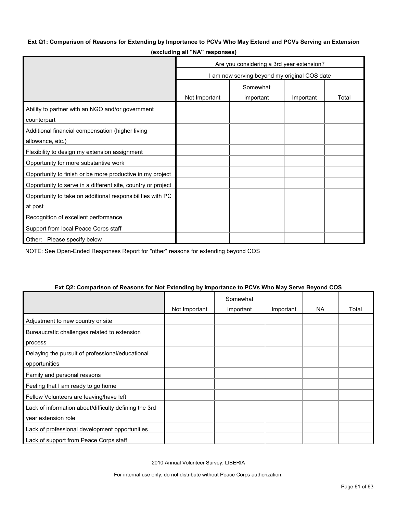# **Ext Q1: Comparison of Reasons for Extending by Importance to PCVs Who May Extend and PCVs Serving an Extension**

|                                                              | Are you considering a 3rd year extension?    |           |           |       |  |
|--------------------------------------------------------------|----------------------------------------------|-----------|-----------|-------|--|
|                                                              | I am now serving beyond my original COS date |           |           |       |  |
|                                                              | Somewhat                                     |           |           |       |  |
|                                                              | Not Important                                | important | Important | Total |  |
| Ability to partner with an NGO and/or government             |                                              |           |           |       |  |
| counterpart                                                  |                                              |           |           |       |  |
| Additional financial compensation (higher living             |                                              |           |           |       |  |
| allowance, etc.)                                             |                                              |           |           |       |  |
| Flexibility to design my extension assignment                |                                              |           |           |       |  |
| Opportunity for more substantive work                        |                                              |           |           |       |  |
| Opportunity to finish or be more productive in my project    |                                              |           |           |       |  |
| Opportunity to serve in a different site, country or project |                                              |           |           |       |  |
| Opportunity to take on additional responsibilities with PC   |                                              |           |           |       |  |
| at post                                                      |                                              |           |           |       |  |
| Recognition of excellent performance                         |                                              |           |           |       |  |
| Support from local Peace Corps staff                         |                                              |           |           |       |  |
| Other: Please specify below                                  |                                              |           |           |       |  |

**(excluding all "NA" responses)**

NOTE: See Open-Ended Responses Report for "other" reasons for extending beyond COS

| LAT QUE OUTIQUISUITUI REQSUIIS IUI NUI LAIENUNIG DYNINDI IQNUE IU I OYS YYNU MAY OEI YE DEYUNU OOO |               | Somewhat  |           |           |       |
|----------------------------------------------------------------------------------------------------|---------------|-----------|-----------|-----------|-------|
|                                                                                                    |               |           |           |           |       |
|                                                                                                    | Not Important | important | Important | <b>NA</b> | Total |
| Adjustment to new country or site                                                                  |               |           |           |           |       |
| Bureaucratic challenges related to extension                                                       |               |           |           |           |       |
| process                                                                                            |               |           |           |           |       |
| Delaying the pursuit of professional/educational                                                   |               |           |           |           |       |
| opportunities                                                                                      |               |           |           |           |       |
| Family and personal reasons                                                                        |               |           |           |           |       |
| Feeling that I am ready to go home                                                                 |               |           |           |           |       |
| Fellow Volunteers are leaving/have left                                                            |               |           |           |           |       |
| Lack of information about/difficulty defining the 3rd                                              |               |           |           |           |       |
| year extension role                                                                                |               |           |           |           |       |
| Lack of professional development opportunities                                                     |               |           |           |           |       |
| Lack of support from Peace Corps staff                                                             |               |           |           |           |       |

#### **Ext Q2: Comparison of Reasons for Not Extending by Importance to PCVs Who May Serve Beyond COS**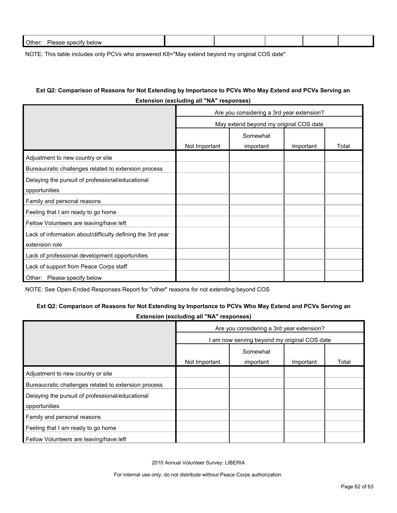| Other:<br>יוכ<br>below<br>: snecitv<br>11 F<br>$\cdots$ |  |  |  |
|---------------------------------------------------------|--|--|--|
|                                                         |  |  |  |

NOTE: This table includes only PCVs who answered K8="May extend beyond my original COS date"

# **Ext Q2: Comparison of Reasons for Not Extending by Importance to PCVs Who May Extend and PCVs Serving an Extension (excluding all "NA" responses)**

|                                                            | Are you considering a 3rd year extension? |           |           |       |  |  |
|------------------------------------------------------------|-------------------------------------------|-----------|-----------|-------|--|--|
|                                                            | May extend beyond my original COS date    |           |           |       |  |  |
|                                                            | Somewhat                                  |           |           |       |  |  |
|                                                            | Not Important                             | important | Important | Total |  |  |
| Adjustment to new country or site                          |                                           |           |           |       |  |  |
| Bureaucratic challenges related to extension process       |                                           |           |           |       |  |  |
| Delaying the pursuit of professional/educational           |                                           |           |           |       |  |  |
| opportunities                                              |                                           |           |           |       |  |  |
| Family and personal reasons                                |                                           |           |           |       |  |  |
| Feeling that I am ready to go home                         |                                           |           |           |       |  |  |
| Fellow Volunteers are leaving/have left                    |                                           |           |           |       |  |  |
| Lack of information about/difficulty defining the 3rd year |                                           |           |           |       |  |  |
| extension role                                             |                                           |           |           |       |  |  |
| Lack of professional development opportunities             |                                           |           |           |       |  |  |
| Lack of support from Peace Corps staff                     |                                           |           |           |       |  |  |
| Other: Please specify below                                |                                           |           |           |       |  |  |

NOTE: See Open-Ended Responses Report for "other" reasons for not extending beyond COS

#### **Ext Q2: Comparison of Reasons for Not Extending by Importance to PCVs Who May Extend and PCVs Serving an**

**Extension (excluding all "NA" responses)**

|                                                      | Are you considering a 3rd year extension?<br>am now serving beyond my original COS date |           |           |       |  |
|------------------------------------------------------|-----------------------------------------------------------------------------------------|-----------|-----------|-------|--|
|                                                      |                                                                                         |           |           |       |  |
|                                                      |                                                                                         | Somewhat  |           |       |  |
|                                                      | Not Important                                                                           | important | Important | Total |  |
| Adjustment to new country or site                    |                                                                                         |           |           |       |  |
| Bureaucratic challenges related to extension process |                                                                                         |           |           |       |  |
| Delaying the pursuit of professional/educational     |                                                                                         |           |           |       |  |
| opportunities                                        |                                                                                         |           |           |       |  |
| Family and personal reasons                          |                                                                                         |           |           |       |  |
| Feeling that I am ready to go home                   |                                                                                         |           |           |       |  |
| Fellow Volunteers are leaving/have left              |                                                                                         |           |           |       |  |